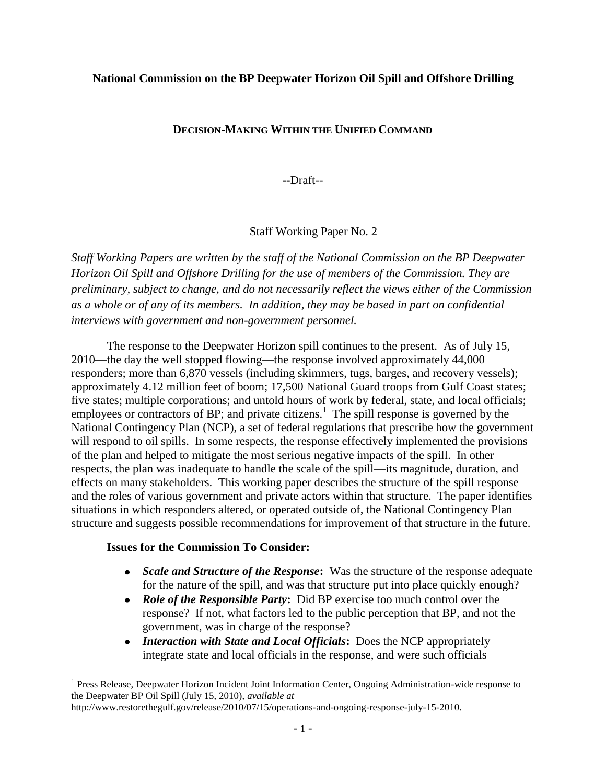## **National Commission on the BP Deepwater Horizon Oil Spill and Offshore Drilling**

## **DECISION-MAKING WITHIN THE UNIFIED COMMAND**

**--**Draft--

## Staff Working Paper No. 2

*Staff Working Papers are written by the staff of the National Commission on the BP Deepwater Horizon Oil Spill and Offshore Drilling for the use of members of the Commission. They are preliminary, subject to change, and do not necessarily reflect the views either of the Commission as a whole or of any of its members. In addition, they may be based in part on confidential interviews with government and non-government personnel.* 

The response to the Deepwater Horizon spill continues to the present. As of July 15, 2010—the day the well stopped flowing—the response involved approximately 44,000 responders; more than 6,870 vessels (including skimmers, tugs, barges, and recovery vessels); approximately 4.12 million feet of boom; 17,500 National Guard troops from Gulf Coast states; five states; multiple corporations; and untold hours of work by federal, state, and local officials; employees or contractors of BP; and private citizens.<sup>1</sup> The spill response is governed by the National Contingency Plan (NCP), a set of federal regulations that prescribe how the government will respond to oil spills. In some respects, the response effectively implemented the provisions of the plan and helped to mitigate the most serious negative impacts of the spill. In other respects, the plan was inadequate to handle the scale of the spill—its magnitude, duration, and effects on many stakeholders. This working paper describes the structure of the spill response and the roles of various government and private actors within that structure. The paper identifies situations in which responders altered, or operated outside of, the National Contingency Plan structure and suggests possible recommendations for improvement of that structure in the future.

#### **Issues for the Commission To Consider:**

- *Scale and Structure of the Response***:** Was the structure of the response adequate  $\bullet$ for the nature of the spill, and was that structure put into place quickly enough?
- *Role of the Responsible Party***:** Did BP exercise too much control over the response? If not, what factors led to the public perception that BP, and not the government, was in charge of the response?
- *Interaction with State and Local Officials***:** Does the NCP appropriately integrate state and local officials in the response, and were such officials

<sup>&</sup>lt;sup>1</sup> Press Release, Deepwater Horizon Incident Joint Information Center, Ongoing Administration-wide response to the Deepwater BP Oil Spill (July 15, 2010), *available at*

http://www.restorethegulf.gov/release/2010/07/15/operations-and-ongoing-response-july-15-2010.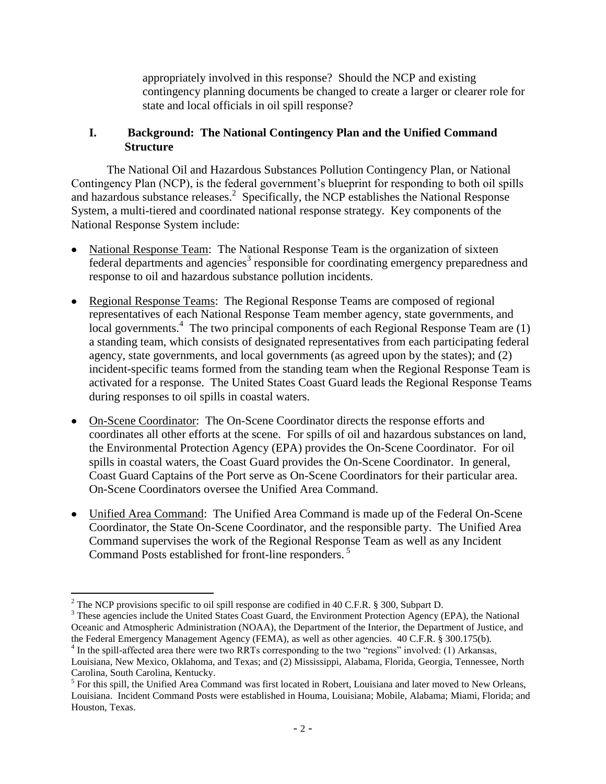appropriately involved in this response? Should the NCP and existing contingency planning documents be changed to create a larger or clearer role for state and local officials in oil spill response?

## **I. Background: The National Contingency Plan and the Unified Command Structure**

The National Oil and Hazardous Substances Pollution Contingency Plan, or National Contingency Plan (NCP), is the federal government's blueprint for responding to both oil spills and hazardous substance releases.<sup>2</sup> Specifically, the NCP establishes the National Response System, a multi-tiered and coordinated national response strategy. Key components of the National Response System include:

- National Response Team: The National Response Team is the organization of sixteen  $f$ ederal departments and agencies<sup>3</sup> responsible for coordinating emergency preparedness and response to oil and hazardous substance pollution incidents.
- Regional Response Teams: The Regional Response Teams are composed of regional representatives of each National Response Team member agency, state governments, and local governments.<sup>4</sup> The two principal components of each Regional Response Team are (1) a standing team, which consists of designated representatives from each participating federal agency, state governments, and local governments (as agreed upon by the states); and (2) incident-specific teams formed from the standing team when the Regional Response Team is activated for a response. The United States Coast Guard leads the Regional Response Teams during responses to oil spills in coastal waters.
- On-Scene Coordinator: The On-Scene Coordinator directs the response efforts and coordinates all other efforts at the scene. For spills of oil and hazardous substances on land, the Environmental Protection Agency (EPA) provides the On-Scene Coordinator. For oil spills in coastal waters, the Coast Guard provides the On-Scene Coordinator. In general, Coast Guard Captains of the Port serve as On-Scene Coordinators for their particular area. On-Scene Coordinators oversee the Unified Area Command.
- Unified Area Command: The Unified Area Command is made up of the Federal On-Scene Coordinator, the State On-Scene Coordinator, and the responsible party. The Unified Area Command supervises the work of the Regional Response Team as well as any Incident Command Posts established for front-line responders.<sup>5</sup>

<sup>&</sup>lt;sup>2</sup> The NCP provisions specific to oil spill response are codified in 40 C.F.R. § 300, Subpart D.

<sup>&</sup>lt;sup>3</sup> These agencies include the United States Coast Guard, the Environment Protection Agency (EPA), the National Oceanic and Atmospheric Administration (NOAA), the Department of the Interior, the Department of Justice, and the Federal Emergency Management Agency (FEMA), as well as other agencies. 40 C.F.R. § 300.175(b).

<sup>&</sup>lt;sup>4</sup> In the spill-affected area there were two RRTs corresponding to the two "regions" involved: (1) Arkansas, Louisiana, New Mexico, Oklahoma, and Texas; and (2) Mississippi, Alabama, Florida, Georgia, Tennessee, North Carolina, South Carolina, Kentucky.

<sup>&</sup>lt;sup>5</sup> For this spill, the Unified Area Command was first located in Robert, Louisiana and later moved to New Orleans, Louisiana. Incident Command Posts were established in Houma, Louisiana; Mobile, Alabama; Miami, Florida; and Houston, Texas.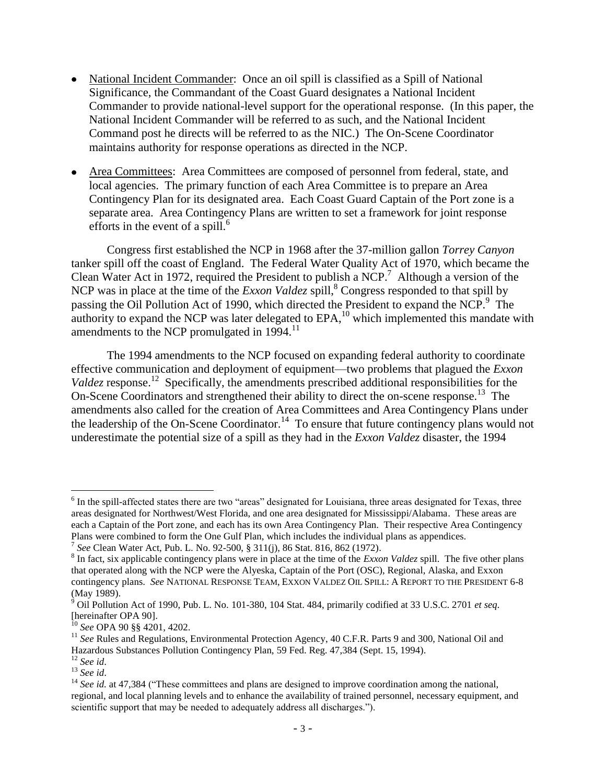- National Incident Commander: Once an oil spill is classified as a Spill of National Significance, the Commandant of the Coast Guard designates a National Incident Commander to provide national-level support for the operational response. (In this paper, the National Incident Commander will be referred to as such, and the National Incident Command post he directs will be referred to as the NIC.) The On-Scene Coordinator maintains authority for response operations as directed in the NCP.
- Area Committees: Area Committees are composed of personnel from federal, state, and local agencies. The primary function of each Area Committee is to prepare an Area Contingency Plan for its designated area. Each Coast Guard Captain of the Port zone is a separate area. Area Contingency Plans are written to set a framework for joint response efforts in the event of a spill. $^6$

Congress first established the NCP in 1968 after the 37-million gallon *Torrey Canyon* tanker spill off the coast of England. The Federal Water Quality Act of 1970, which became the Clean Water Act in 1972, required the President to publish a NCP.<sup>7</sup> Although a version of the NCP was in place at the time of the *Exxon Valdez* spill,<sup>8</sup> Congress responded to that spill by passing the Oil Pollution Act of 1990, which directed the President to expand the NCP.<sup>9</sup> The authority to expand the NCP was later delegated to  $EPA$ ,<sup>10</sup> which implemented this mandate with amendments to the NCP promulgated in 1994.<sup>11</sup>

The 1994 amendments to the NCP focused on expanding federal authority to coordinate effective communication and deployment of equipment—two problems that plagued the *Exxon*  Valdez response.<sup>12</sup> Specifically, the amendments prescribed additional responsibilities for the On-Scene Coordinators and strengthened their ability to direct the on-scene response.<sup>13</sup> The amendments also called for the creation of Area Committees and Area Contingency Plans under the leadership of the On-Scene Coordinator.<sup>14</sup> To ensure that future contingency plans would not underestimate the potential size of a spill as they had in the *Exxon Valdez* disaster, the 1994

<sup>&</sup>lt;sup>6</sup> In the spill-affected states there are two "areas" designated for Louisiana, three areas designated for Texas, three areas designated for Northwest/West Florida, and one area designated for Mississippi/Alabama. These areas are each a Captain of the Port zone, and each has its own Area Contingency Plan. Their respective Area Contingency Plans were combined to form the One Gulf Plan, which includes the individual plans as appendices.

<sup>7</sup> *See* Clean Water Act, Pub. L. No. 92-500, § 311(j), 86 Stat. 816, 862 (1972).

<sup>&</sup>lt;sup>8</sup> In fact, six applicable contingency plans were in place at the time of the *Exxon Valdez* spill. The five other plans that operated along with the NCP were the Alyeska, Captain of the Port (OSC), Regional, Alaska, and Exxon contingency plans. *See* NATIONAL RESPONSE TEAM, EXXON VALDEZ OIL SPILL: A REPORT TO THE PRESIDENT 6-8 (May 1989).

<sup>9</sup> Oil Pollution Act of 1990, Pub. L. No. 101-380, 104 Stat. 484, primarily codified at 33 U.S.C. 2701 *et seq.*  [hereinafter OPA 90].

<sup>10</sup> *See* OPA 90 §§ 4201, 4202.

<sup>&</sup>lt;sup>11</sup> See Rules and Regulations, Environmental Protection Agency, 40 C.F.R. Parts 9 and 300, National Oil and Hazardous Substances Pollution Contingency Plan, 59 Fed. Reg. 47,384 (Sept. 15, 1994).

<sup>12</sup> *See id*. <sup>13</sup> *See id*.

<sup>&</sup>lt;sup>14</sup> *See id.* at 47,384 ("These committees and plans are designed to improve coordination among the national, regional, and local planning levels and to enhance the availability of trained personnel, necessary equipment, and scientific support that may be needed to adequately address all discharges.").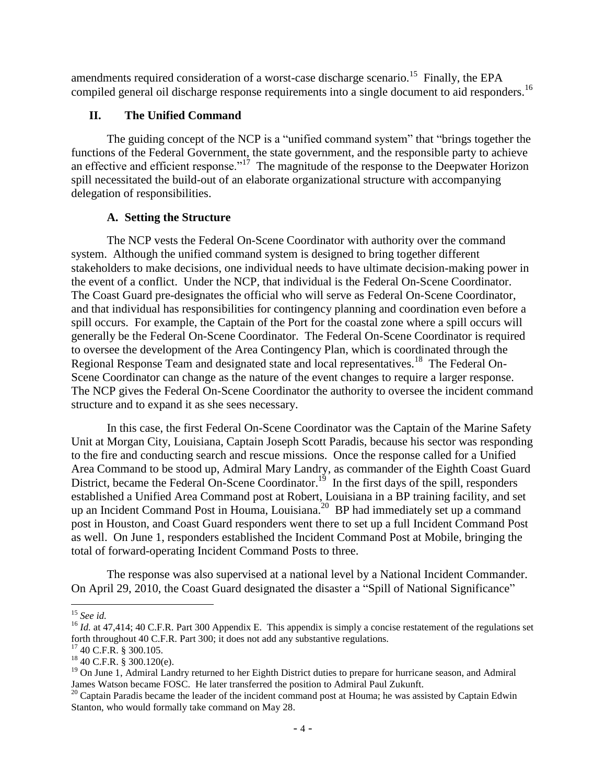amendments required consideration of a worst-case discharge scenario.<sup>15</sup> Finally, the EPA compiled general oil discharge response requirements into a single document to aid responders.<sup>16</sup>

## **II. The Unified Command**

The guiding concept of the NCP is a "unified command system" that "brings together the functions of the Federal Government, the state government, and the responsible party to achieve an effective and efficient response."<sup>17</sup> The magnitude of the response to the Deepwater Horizon spill necessitated the build-out of an elaborate organizational structure with accompanying delegation of responsibilities.

#### **A. Setting the Structure**

The NCP vests the Federal On-Scene Coordinator with authority over the command system. Although the unified command system is designed to bring together different stakeholders to make decisions, one individual needs to have ultimate decision-making power in the event of a conflict. Under the NCP, that individual is the Federal On-Scene Coordinator. The Coast Guard pre-designates the official who will serve as Federal On-Scene Coordinator, and that individual has responsibilities for contingency planning and coordination even before a spill occurs. For example, the Captain of the Port for the coastal zone where a spill occurs will generally be the Federal On-Scene Coordinator. The Federal On-Scene Coordinator is required to oversee the development of the Area Contingency Plan, which is coordinated through the Regional Response Team and designated state and local representatives.<sup>18</sup> The Federal On-Scene Coordinator can change as the nature of the event changes to require a larger response. The NCP gives the Federal On-Scene Coordinator the authority to oversee the incident command structure and to expand it as she sees necessary.

In this case, the first Federal On-Scene Coordinator was the Captain of the Marine Safety Unit at Morgan City, Louisiana, Captain Joseph Scott Paradis, because his sector was responding to the fire and conducting search and rescue missions. Once the response called for a Unified Area Command to be stood up, Admiral Mary Landry, as commander of the Eighth Coast Guard District, became the Federal On-Scene Coordinator.<sup>19</sup> In the first days of the spill, responders established a Unified Area Command post at Robert, Louisiana in a BP training facility, and set up an Incident Command Post in Houma, Louisiana.<sup>20</sup> BP had immediately set up a command post in Houston, and Coast Guard responders went there to set up a full Incident Command Post as well. On June 1, responders established the Incident Command Post at Mobile, bringing the total of forward-operating Incident Command Posts to three.

The response was also supervised at a national level by a National Incident Commander. On April 29, 2010, the Coast Guard designated the disaster a "Spill of National Significance"

 $\overline{a}$ <sup>15</sup> *See id.*

<sup>&</sup>lt;sup>16</sup> *Id.* at 47.414; 40 C.F.R. Part 300 Appendix E. This appendix is simply a concise restatement of the regulations set forth throughout 40 C.F.R. Part 300; it does not add any substantive regulations.

<sup>17</sup> 40 C.F.R. § 300.105.

<sup>18</sup> 40 C.F.R. § 300.120(e).

 $19$  On June 1, Admiral Landry returned to her Eighth District duties to prepare for hurricane season, and Admiral James Watson became FOSC. He later transferred the position to Admiral Paul Zukunft.

 $20$  Captain Paradis became the leader of the incident command post at Houma; he was assisted by Captain Edwin Stanton, who would formally take command on May 28.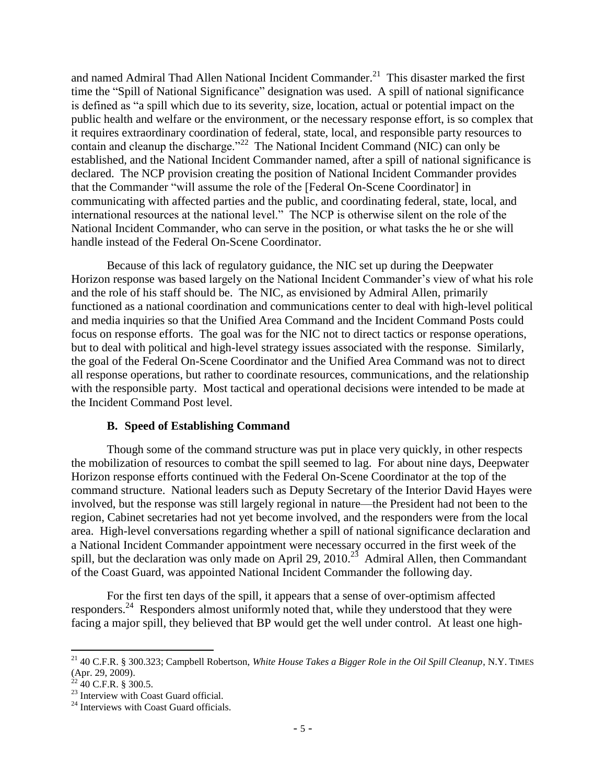and named Admiral Thad Allen National Incident Commander.<sup>21</sup> This disaster marked the first time the "Spill of National Significance" designation was used. A spill of national significance is defined as "a spill which due to its severity, size, location, actual or potential impact on the public health and welfare or the environment, or the necessary response effort, is so complex that it requires extraordinary coordination of federal, state, local, and responsible party resources to contain and cleanup the discharge."<sup>22</sup> The National Incident Command (NIC) can only be established, and the National Incident Commander named, after a spill of national significance is declared. The NCP provision creating the position of National Incident Commander provides that the Commander "will assume the role of the [Federal On-Scene Coordinator] in communicating with affected parties and the public, and coordinating federal, state, local, and international resources at the national level." The NCP is otherwise silent on the role of the National Incident Commander, who can serve in the position, or what tasks the he or she will handle instead of the Federal On-Scene Coordinator.

Because of this lack of regulatory guidance, the NIC set up during the Deepwater Horizon response was based largely on the National Incident Commander"s view of what his role and the role of his staff should be. The NIC, as envisioned by Admiral Allen, primarily functioned as a national coordination and communications center to deal with high-level political and media inquiries so that the Unified Area Command and the Incident Command Posts could focus on response efforts. The goal was for the NIC not to direct tactics or response operations, but to deal with political and high-level strategy issues associated with the response. Similarly, the goal of the Federal On-Scene Coordinator and the Unified Area Command was not to direct all response operations, but rather to coordinate resources, communications, and the relationship with the responsible party. Most tactical and operational decisions were intended to be made at the Incident Command Post level.

#### **B. Speed of Establishing Command**

Though some of the command structure was put in place very quickly, in other respects the mobilization of resources to combat the spill seemed to lag. For about nine days, Deepwater Horizon response efforts continued with the Federal On-Scene Coordinator at the top of the command structure. National leaders such as Deputy Secretary of the Interior David Hayes were involved, but the response was still largely regional in nature—the President had not been to the region, Cabinet secretaries had not yet become involved, and the responders were from the local area. High-level conversations regarding whether a spill of national significance declaration and a National Incident Commander appointment were necessary occurred in the first week of the spill, but the declaration was only made on April 29, 2010.<sup>23</sup> Admiral Allen, then Commandant of the Coast Guard, was appointed National Incident Commander the following day.

For the first ten days of the spill, it appears that a sense of over-optimism affected responders.<sup>24</sup> Responders almost uniformly noted that, while they understood that they were facing a major spill, they believed that BP would get the well under control. At least one high-

<sup>21</sup> 40 C.F.R. § 300.323; Campbell Robertson, *White House Takes a Bigger Role in the Oil Spill Cleanup*, N.Y. TIMES (Apr. 29, 2009).

 $^{22}$  40 C.F.R. § 300.5.

<sup>&</sup>lt;sup>23</sup> Interview with Coast Guard official.

<sup>&</sup>lt;sup>24</sup> Interviews with Coast Guard officials.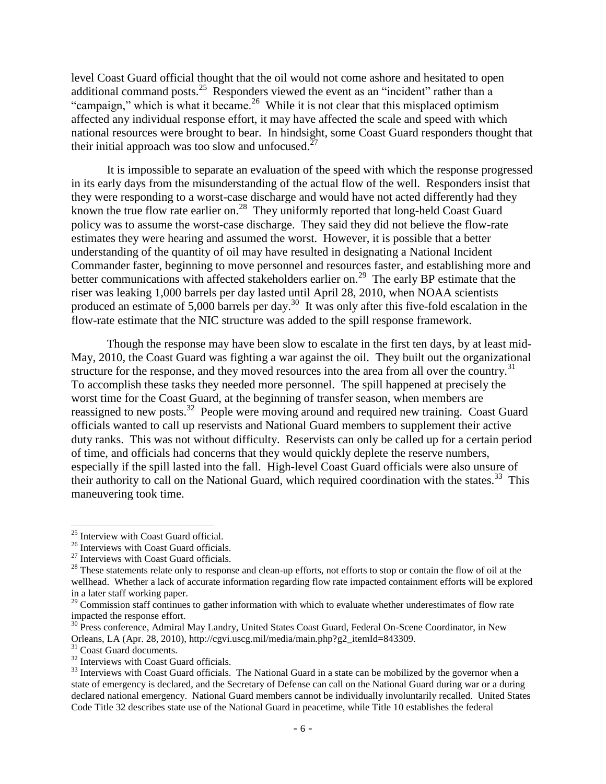level Coast Guard official thought that the oil would not come ashore and hesitated to open additional command posts.<sup>25</sup> Responders viewed the event as an "incident" rather than a "campaign," which is what it became.<sup>26</sup> While it is not clear that this misplaced optimism affected any individual response effort, it may have affected the scale and speed with which national resources were brought to bear. In hindsight, some Coast Guard responders thought that their initial approach was too slow and unfocused.<sup>27</sup>

It is impossible to separate an evaluation of the speed with which the response progressed in its early days from the misunderstanding of the actual flow of the well. Responders insist that they were responding to a worst-case discharge and would have not acted differently had they known the true flow rate earlier on.<sup>28</sup> They uniformly reported that long-held Coast Guard policy was to assume the worst-case discharge. They said they did not believe the flow-rate estimates they were hearing and assumed the worst. However, it is possible that a better understanding of the quantity of oil may have resulted in designating a National Incident Commander faster, beginning to move personnel and resources faster, and establishing more and better communications with affected stakeholders earlier on.<sup>29</sup> The early BP estimate that the riser was leaking 1,000 barrels per day lasted until April 28, 2010, when NOAA scientists produced an estimate of  $5,000$  barrels per day.<sup>30</sup> It was only after this five-fold escalation in the flow-rate estimate that the NIC structure was added to the spill response framework.

Though the response may have been slow to escalate in the first ten days, by at least mid-May, 2010, the Coast Guard was fighting a war against the oil. They built out the organizational structure for the response, and they moved resources into the area from all over the country.<sup>31</sup> To accomplish these tasks they needed more personnel. The spill happened at precisely the worst time for the Coast Guard, at the beginning of transfer season, when members are reassigned to new posts.<sup>32</sup> People were moving around and required new training. Coast Guard officials wanted to call up reservists and National Guard members to supplement their active duty ranks. This was not without difficulty. Reservists can only be called up for a certain period of time, and officials had concerns that they would quickly deplete the reserve numbers, especially if the spill lasted into the fall. High-level Coast Guard officials were also unsure of their authority to call on the National Guard, which required coordination with the states.<sup>33</sup> This maneuvering took time.

<sup>25</sup> Interview with Coast Guard official.

<sup>&</sup>lt;sup>26</sup> Interviews with Coast Guard officials.

<sup>&</sup>lt;sup>27</sup> Interviews with Coast Guard officials.

<sup>&</sup>lt;sup>28</sup> These statements relate only to response and clean-up efforts, not efforts to stop or contain the flow of oil at the wellhead. Whether a lack of accurate information regarding flow rate impacted containment efforts will be explored in a later staff working paper.

<sup>&</sup>lt;sup>29</sup> Commission staff continues to gather information with which to evaluate whether underestimates of flow rate impacted the response effort.

<sup>&</sup>lt;sup>30</sup> Press conference, Admiral May Landry, United States Coast Guard, Federal On-Scene Coordinator, in New Orleans, LA (Apr. 28, 2010), http://cgvi.uscg.mil/media/main.php?g2\_itemId=843309.

<sup>&</sup>lt;sup>31</sup> Coast Guard documents.

<sup>&</sup>lt;sup>32</sup> Interviews with Coast Guard officials.

<sup>&</sup>lt;sup>33</sup> Interviews with Coast Guard officials. The National Guard in a state can be mobilized by the governor when a state of emergency is declared, and the Secretary of Defense can call on the National Guard during war or a during declared national emergency. National Guard members cannot be individually involuntarily recalled. United States Code Title 32 describes state use of the National Guard in peacetime, while Title 10 establishes the federal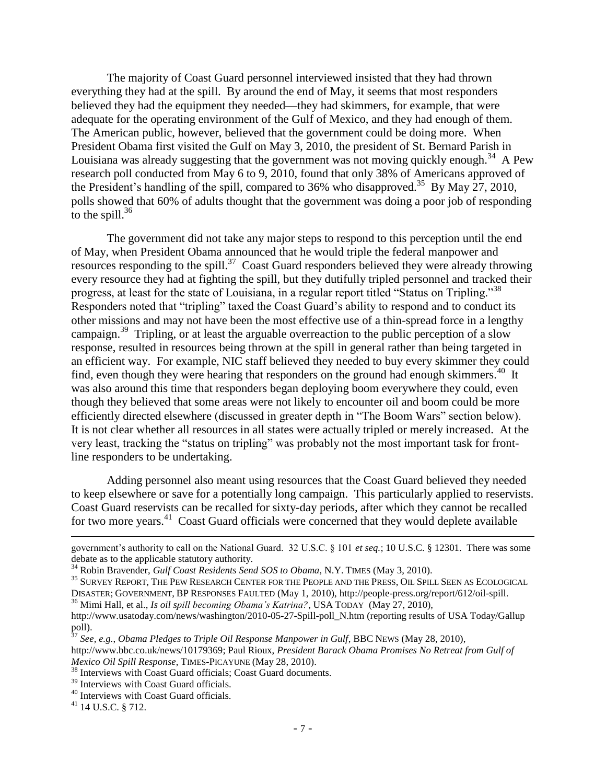The majority of Coast Guard personnel interviewed insisted that they had thrown everything they had at the spill. By around the end of May, it seems that most responders believed they had the equipment they needed—they had skimmers, for example, that were adequate for the operating environment of the Gulf of Mexico, and they had enough of them. The American public, however, believed that the government could be doing more. When President Obama first visited the Gulf on May 3, 2010, the president of St. Bernard Parish in Louisiana was already suggesting that the government was not moving quickly enough.<sup>34</sup> A Pew research poll conducted from May 6 to 9, 2010, found that only 38% of Americans approved of the President's handling of the spill, compared to 36% who disapproved.<sup>35</sup> By May 27, 2010, polls showed that 60% of adults thought that the government was doing a poor job of responding to the spill. $36$ 

The government did not take any major steps to respond to this perception until the end of May, when President Obama announced that he would triple the federal manpower and resources responding to the spill.<sup>37</sup> Coast Guard responders believed they were already throwing every resource they had at fighting the spill, but they dutifully tripled personnel and tracked their progress, at least for the state of Louisiana, in a regular report titled "Status on Tripling."<sup>38</sup> Responders noted that "tripling" taxed the Coast Guard"s ability to respond and to conduct its other missions and may not have been the most effective use of a thin-spread force in a lengthy campaign.<sup>39</sup> Tripling, or at least the arguable overreaction to the public perception of a slow response, resulted in resources being thrown at the spill in general rather than being targeted in an efficient way. For example, NIC staff believed they needed to buy every skimmer they could find, even though they were hearing that responders on the ground had enough skimmers.<sup>40</sup> It was also around this time that responders began deploying boom everywhere they could, even though they believed that some areas were not likely to encounter oil and boom could be more efficiently directed elsewhere (discussed in greater depth in "The Boom Wars" section below). It is not clear whether all resources in all states were actually tripled or merely increased. At the very least, tracking the "status on tripling" was probably not the most important task for frontline responders to be undertaking.

Adding personnel also meant using resources that the Coast Guard believed they needed to keep elsewhere or save for a potentially long campaign. This particularly applied to reservists. Coast Guard reservists can be recalled for sixty-day periods, after which they cannot be recalled for two more years.<sup>41</sup> Coast Guard officials were concerned that they would deplete available

<sup>37</sup> *See, e.g.*, *Obama Pledges to Triple Oil Response Manpower in Gulf*, BBC NEWS (May 28, 2010),

<sup>38</sup> Interviews with Coast Guard officials; Coast Guard documents.

government"s authority to call on the National Guard. 32 U.S.C. § 101 *et seq.*; 10 U.S.C. § 12301. There was some debate as to the applicable statutory authority.

<sup>&</sup>lt;sup>34</sup> Robin Bravender, *Gulf Coast Residents Send SOS to Obama*, N.Y. TIMES (May 3, 2010).

<sup>35</sup> SURVEY REPORT, THE PEW RESEARCH CENTER FOR THE PEOPLE AND THE PRESS, OIL SPILL SEEN AS ECOLOGICAL DISASTER; GOVERNMENT, BP RESPONSES FAULTED (May 1, 2010), http://people-press.org/report/612/oil-spill.

<sup>36</sup> Mimi Hall, et al., *Is oil spill becoming Obama"s Katrina?*, USA TODAY (May 27, 2010),

http://www.usatoday.com/news/washington/2010-05-27-Spill-poll\_N.htm (reporting results of USA Today/Gallup poll).

http://www.bbc.co.uk/news/10179369; Paul Rioux, *President Barack Obama Promises No Retreat from Gulf of Mexico Oil Spill Response*, TIMES-PICAYUNE (May 28, 2010).

<sup>&</sup>lt;sup>39</sup> Interviews with Coast Guard officials.

<sup>40</sup> Interviews with Coast Guard officials.

 $41$  14 U.S.C. § 712.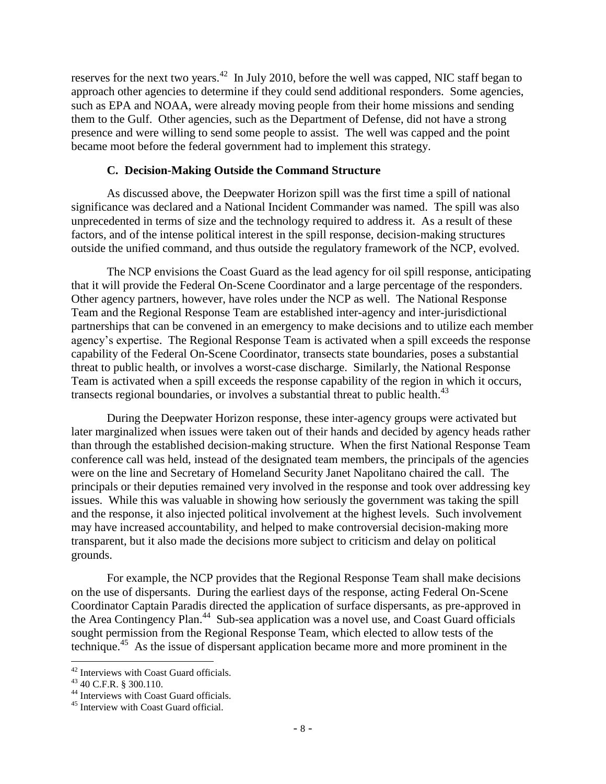reserves for the next two years.<sup>42</sup> In July 2010, before the well was capped, NIC staff began to approach other agencies to determine if they could send additional responders. Some agencies, such as EPA and NOAA, were already moving people from their home missions and sending them to the Gulf. Other agencies, such as the Department of Defense, did not have a strong presence and were willing to send some people to assist. The well was capped and the point became moot before the federal government had to implement this strategy.

#### **C. Decision-Making Outside the Command Structure**

As discussed above, the Deepwater Horizon spill was the first time a spill of national significance was declared and a National Incident Commander was named. The spill was also unprecedented in terms of size and the technology required to address it. As a result of these factors, and of the intense political interest in the spill response, decision-making structures outside the unified command, and thus outside the regulatory framework of the NCP, evolved.

The NCP envisions the Coast Guard as the lead agency for oil spill response, anticipating that it will provide the Federal On-Scene Coordinator and a large percentage of the responders. Other agency partners, however, have roles under the NCP as well. The National Response Team and the Regional Response Team are established inter-agency and inter-jurisdictional partnerships that can be convened in an emergency to make decisions and to utilize each member agency"s expertise. The Regional Response Team is activated when a spill exceeds the response capability of the Federal On-Scene Coordinator, transects state boundaries, poses a substantial threat to public health, or involves a worst-case discharge. Similarly, the National Response Team is activated when a spill exceeds the response capability of the region in which it occurs, transects regional boundaries, or involves a substantial threat to public health.<sup>43</sup>

During the Deepwater Horizon response, these inter-agency groups were activated but later marginalized when issues were taken out of their hands and decided by agency heads rather than through the established decision-making structure. When the first National Response Team conference call was held, instead of the designated team members, the principals of the agencies were on the line and Secretary of Homeland Security Janet Napolitano chaired the call. The principals or their deputies remained very involved in the response and took over addressing key issues. While this was valuable in showing how seriously the government was taking the spill and the response, it also injected political involvement at the highest levels. Such involvement may have increased accountability, and helped to make controversial decision-making more transparent, but it also made the decisions more subject to criticism and delay on political grounds.

For example, the NCP provides that the Regional Response Team shall make decisions on the use of dispersants. During the earliest days of the response, acting Federal On-Scene Coordinator Captain Paradis directed the application of surface dispersants, as pre-approved in the Area Contingency Plan.<sup>44</sup> Sub-sea application was a novel use, and Coast Guard officials sought permission from the Regional Response Team, which elected to allow tests of the technique.<sup>45</sup> As the issue of dispersant application became more and more prominent in the

<sup>&</sup>lt;sup>42</sup> Interviews with Coast Guard officials.

<sup>43 40</sup> C.F.R. § 300.110.

<sup>&</sup>lt;sup>44</sup> Interviews with Coast Guard officials.

<sup>45</sup> Interview with Coast Guard official.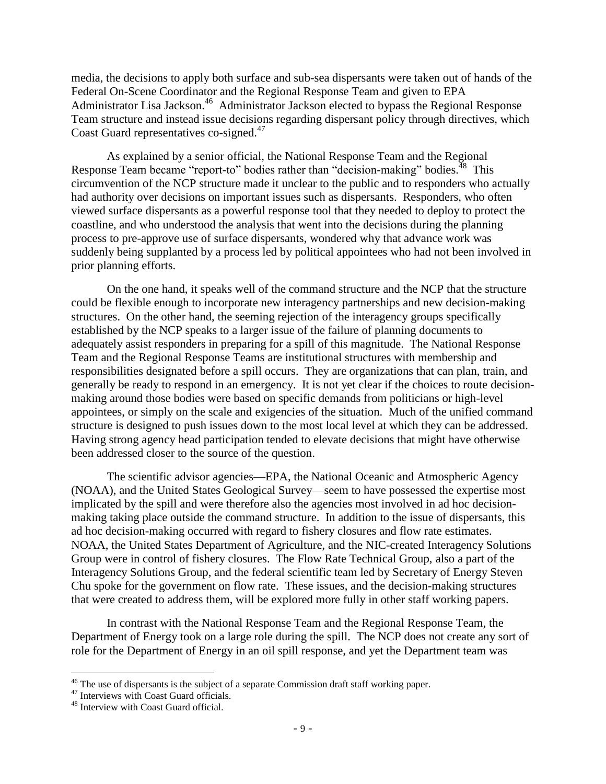media, the decisions to apply both surface and sub-sea dispersants were taken out of hands of the Federal On-Scene Coordinator and the Regional Response Team and given to EPA Administrator Lisa Jackson.<sup>46</sup> Administrator Jackson elected to bypass the Regional Response Team structure and instead issue decisions regarding dispersant policy through directives, which Coast Guard representatives co-signed.<sup>47</sup>

As explained by a senior official, the National Response Team and the Regional Response Team became "report-to" bodies rather than "decision-making" bodies.<sup>48</sup> This circumvention of the NCP structure made it unclear to the public and to responders who actually had authority over decisions on important issues such as dispersants. Responders, who often viewed surface dispersants as a powerful response tool that they needed to deploy to protect the coastline, and who understood the analysis that went into the decisions during the planning process to pre-approve use of surface dispersants, wondered why that advance work was suddenly being supplanted by a process led by political appointees who had not been involved in prior planning efforts.

On the one hand, it speaks well of the command structure and the NCP that the structure could be flexible enough to incorporate new interagency partnerships and new decision-making structures. On the other hand, the seeming rejection of the interagency groups specifically established by the NCP speaks to a larger issue of the failure of planning documents to adequately assist responders in preparing for a spill of this magnitude. The National Response Team and the Regional Response Teams are institutional structures with membership and responsibilities designated before a spill occurs. They are organizations that can plan, train, and generally be ready to respond in an emergency. It is not yet clear if the choices to route decisionmaking around those bodies were based on specific demands from politicians or high-level appointees, or simply on the scale and exigencies of the situation. Much of the unified command structure is designed to push issues down to the most local level at which they can be addressed. Having strong agency head participation tended to elevate decisions that might have otherwise been addressed closer to the source of the question.

The scientific advisor agencies—EPA, the National Oceanic and Atmospheric Agency (NOAA), and the United States Geological Survey—seem to have possessed the expertise most implicated by the spill and were therefore also the agencies most involved in ad hoc decisionmaking taking place outside the command structure. In addition to the issue of dispersants, this ad hoc decision-making occurred with regard to fishery closures and flow rate estimates. NOAA, the United States Department of Agriculture, and the NIC-created Interagency Solutions Group were in control of fishery closures. The Flow Rate Technical Group, also a part of the Interagency Solutions Group, and the federal scientific team led by Secretary of Energy Steven Chu spoke for the government on flow rate. These issues, and the decision-making structures that were created to address them, will be explored more fully in other staff working papers.

In contrast with the National Response Team and the Regional Response Team, the Department of Energy took on a large role during the spill. The NCP does not create any sort of role for the Department of Energy in an oil spill response, and yet the Department team was

 $\overline{a}$ <sup>46</sup> The use of dispersants is the subject of a separate Commission draft staff working paper.

<sup>&</sup>lt;sup>47</sup> Interviews with Coast Guard officials.

<sup>48</sup> Interview with Coast Guard official.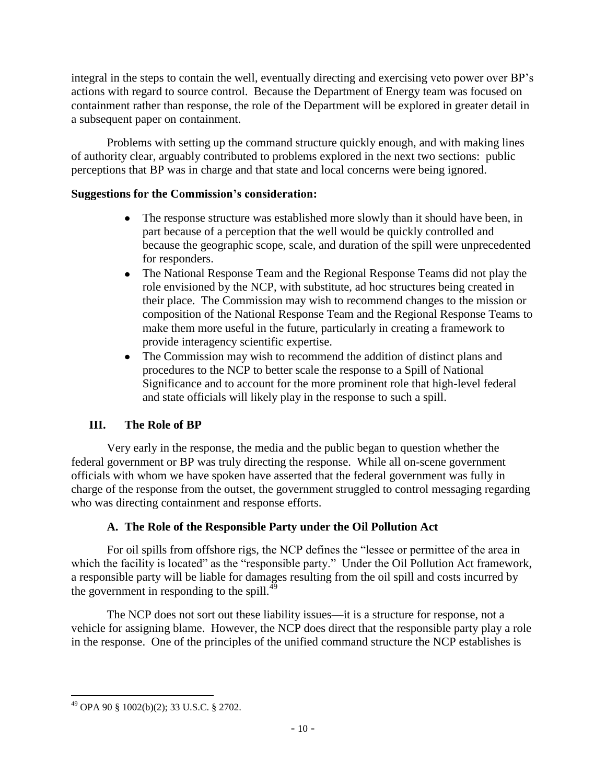integral in the steps to contain the well, eventually directing and exercising veto power over BP"s actions with regard to source control. Because the Department of Energy team was focused on containment rather than response, the role of the Department will be explored in greater detail in a subsequent paper on containment.

Problems with setting up the command structure quickly enough, and with making lines of authority clear, arguably contributed to problems explored in the next two sections: public perceptions that BP was in charge and that state and local concerns were being ignored.

# **Suggestions for the Commission's consideration:**

- The response structure was established more slowly than it should have been, in  $\bullet$ part because of a perception that the well would be quickly controlled and because the geographic scope, scale, and duration of the spill were unprecedented for responders.
- The National Response Team and the Regional Response Teams did not play the  $\bullet$ role envisioned by the NCP, with substitute, ad hoc structures being created in their place. The Commission may wish to recommend changes to the mission or composition of the National Response Team and the Regional Response Teams to make them more useful in the future, particularly in creating a framework to provide interagency scientific expertise.
- The Commission may wish to recommend the addition of distinct plans and  $\bullet$ procedures to the NCP to better scale the response to a Spill of National Significance and to account for the more prominent role that high-level federal and state officials will likely play in the response to such a spill.

# **III. The Role of BP**

Very early in the response, the media and the public began to question whether the federal government or BP was truly directing the response. While all on-scene government officials with whom we have spoken have asserted that the federal government was fully in charge of the response from the outset, the government struggled to control messaging regarding who was directing containment and response efforts.

# **A. The Role of the Responsible Party under the Oil Pollution Act**

For oil spills from offshore rigs, the NCP defines the "lessee or permittee of the area in which the facility is located" as the "responsible party." Under the Oil Pollution Act framework, a responsible party will be liable for damages resulting from the oil spill and costs incurred by the government in responding to the spill. $^{49}$ 

The NCP does not sort out these liability issues—it is a structure for response, not a vehicle for assigning blame. However, the NCP does direct that the responsible party play a role in the response. One of the principles of the unified command structure the NCP establishes is

 $\overline{a}$  $^{49}$  OPA 90 § 1002(b)(2); 33 U.S.C. § 2702.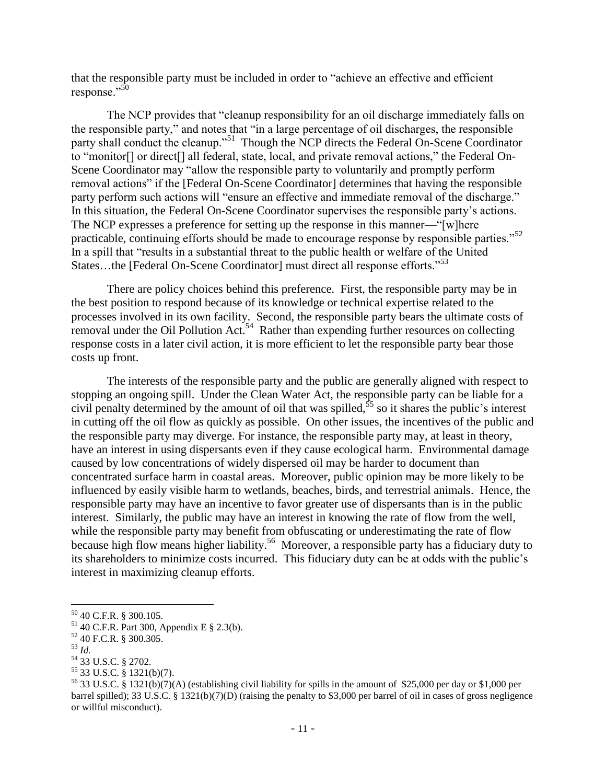that the responsible party must be included in order to "achieve an effective and efficient response."<sup>50</sup>

The NCP provides that "cleanup responsibility for an oil discharge immediately falls on the responsible party," and notes that "in a large percentage of oil discharges, the responsible party shall conduct the cleanup."<sup>51</sup> Though the NCP directs the Federal On-Scene Coordinator to "monitor[] or direct[] all federal, state, local, and private removal actions," the Federal On-Scene Coordinator may "allow the responsible party to voluntarily and promptly perform removal actions" if the [Federal On-Scene Coordinator] determines that having the responsible party perform such actions will "ensure an effective and immediate removal of the discharge." In this situation, the Federal On-Scene Coordinator supervises the responsible party"s actions. The NCP expresses a preference for setting up the response in this manner—"[w]here practicable, continuing efforts should be made to encourage response by responsible parties."<sup>52</sup> In a spill that "results in a substantial threat to the public health or welfare of the United States…the [Federal On-Scene Coordinator] must direct all response efforts."<sup>53</sup>

There are policy choices behind this preference. First, the responsible party may be in the best position to respond because of its knowledge or technical expertise related to the processes involved in its own facility. Second, the responsible party bears the ultimate costs of removal under the Oil Pollution Act.<sup>54</sup> Rather than expending further resources on collecting response costs in a later civil action, it is more efficient to let the responsible party bear those costs up front.

The interests of the responsible party and the public are generally aligned with respect to stopping an ongoing spill. Under the Clean Water Act, the responsible party can be liable for a civil penalty determined by the amount of oil that was spilled,  $55$  so it shares the public's interest in cutting off the oil flow as quickly as possible. On other issues, the incentives of the public and the responsible party may diverge. For instance, the responsible party may, at least in theory, have an interest in using dispersants even if they cause ecological harm. Environmental damage caused by low concentrations of widely dispersed oil may be harder to document than concentrated surface harm in coastal areas. Moreover, public opinion may be more likely to be influenced by easily visible harm to wetlands, beaches, birds, and terrestrial animals. Hence, the responsible party may have an incentive to favor greater use of dispersants than is in the public interest. Similarly, the public may have an interest in knowing the rate of flow from the well, while the responsible party may benefit from obfuscating or underestimating the rate of flow because high flow means higher liability.<sup>56</sup> Moreover, a responsible party has a fiduciary duty to its shareholders to minimize costs incurred. This fiduciary duty can be at odds with the public"s interest in maximizing cleanup efforts.

<sup>50</sup> 40 C.F.R. § 300.105.

 $51$  40 C.F.R. Part 300, Appendix E § 2.3(b).

<sup>52</sup> 40 F.C.R. § 300.305.

<sup>53</sup> *Id.*

<sup>54</sup> 33 U.S.C. § 2702.

<sup>55</sup> 33 U.S.C. § 1321(b)(7).

<sup>&</sup>lt;sup>56</sup> 33 U.S.C. § 1321(b)(7)(A) (establishing civil liability for spills in the amount of \$25,000 per day or \$1,000 per barrel spilled); 33 U.S.C. § 1321(b)(7)(D) (raising the penalty to \$3,000 per barrel of oil in cases of gross negligence or willful misconduct).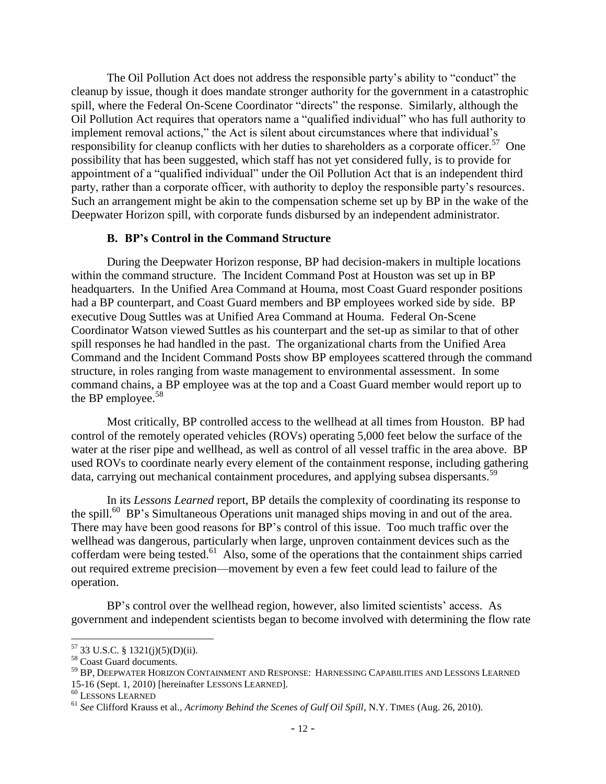The Oil Pollution Act does not address the responsible party"s ability to "conduct" the cleanup by issue, though it does mandate stronger authority for the government in a catastrophic spill, where the Federal On-Scene Coordinator "directs" the response. Similarly, although the Oil Pollution Act requires that operators name a "qualified individual" who has full authority to implement removal actions," the Act is silent about circumstances where that individual"s responsibility for cleanup conflicts with her duties to shareholders as a corporate officer.<sup>57</sup> One possibility that has been suggested, which staff has not yet considered fully, is to provide for appointment of a "qualified individual" under the Oil Pollution Act that is an independent third party, rather than a corporate officer, with authority to deploy the responsible party"s resources. Such an arrangement might be akin to the compensation scheme set up by BP in the wake of the Deepwater Horizon spill, with corporate funds disbursed by an independent administrator.

#### **B. BP's Control in the Command Structure**

During the Deepwater Horizon response, BP had decision-makers in multiple locations within the command structure. The Incident Command Post at Houston was set up in BP headquarters. In the Unified Area Command at Houma, most Coast Guard responder positions had a BP counterpart, and Coast Guard members and BP employees worked side by side. BP executive Doug Suttles was at Unified Area Command at Houma. Federal On-Scene Coordinator Watson viewed Suttles as his counterpart and the set-up as similar to that of other spill responses he had handled in the past. The organizational charts from the Unified Area Command and the Incident Command Posts show BP employees scattered through the command structure, in roles ranging from waste management to environmental assessment. In some command chains, a BP employee was at the top and a Coast Guard member would report up to the BP employee. $58$ 

Most critically, BP controlled access to the wellhead at all times from Houston. BP had control of the remotely operated vehicles (ROVs) operating 5,000 feet below the surface of the water at the riser pipe and wellhead, as well as control of all vessel traffic in the area above. BP used ROVs to coordinate nearly every element of the containment response, including gathering data, carrying out mechanical containment procedures, and applying subsea dispersants. 59

In its *Lessons Learned* report, BP details the complexity of coordinating its response to the spill.<sup>60</sup> BP's Simultaneous Operations unit managed ships moving in and out of the area. There may have been good reasons for BP"s control of this issue. Too much traffic over the wellhead was dangerous, particularly when large, unproven containment devices such as the cofferdam were being tested.<sup>61</sup> Also, some of the operations that the containment ships carried out required extreme precision—movement by even a few feet could lead to failure of the operation.

BP's control over the wellhead region, however, also limited scientists' access. As government and independent scientists began to become involved with determining the flow rate

 $57$  33 U.S.C. § 1321(j)(5)(D)(ii).

<sup>&</sup>lt;sup>58</sup> Coast Guard documents.

<sup>59</sup> BP, DEEPWATER HORIZON CONTAINMENT AND RESPONSE: HARNESSING CAPABILITIES AND LESSONS LEARNED 15-16 (Sept. 1, 2010) [hereinafter LESSONS LEARNED].

<sup>60</sup> LESSONS LEARNED

<sup>61</sup> *See* Clifford Krauss et al., *Acrimony Behind the Scenes of Gulf Oil Spill*, N.Y. TIMES (Aug. 26, 2010).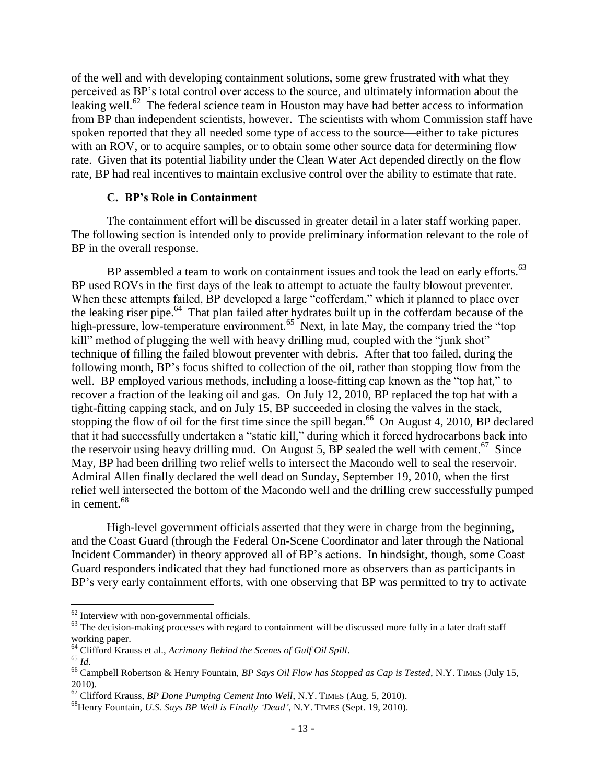of the well and with developing containment solutions, some grew frustrated with what they perceived as BP"s total control over access to the source, and ultimately information about the leaking well.<sup>62</sup> The federal science team in Houston may have had better access to information from BP than independent scientists, however. The scientists with whom Commission staff have spoken reported that they all needed some type of access to the source—either to take pictures with an ROV, or to acquire samples, or to obtain some other source data for determining flow rate. Given that its potential liability under the Clean Water Act depended directly on the flow rate, BP had real incentives to maintain exclusive control over the ability to estimate that rate.

## **C. BP's Role in Containment**

The containment effort will be discussed in greater detail in a later staff working paper. The following section is intended only to provide preliminary information relevant to the role of BP in the overall response.

BP assembled a team to work on containment issues and took the lead on early efforts.<sup>63</sup> BP used ROVs in the first days of the leak to attempt to actuate the faulty blowout preventer. When these attempts failed, BP developed a large "cofferdam," which it planned to place over the leaking riser pipe.<sup>64</sup> That plan failed after hydrates built up in the cofferdam because of the high-pressure, low-temperature environment.<sup>65</sup> Next, in late May, the company tried the "top kill" method of plugging the well with heavy drilling mud, coupled with the "junk shot" technique of filling the failed blowout preventer with debris. After that too failed, during the following month, BP"s focus shifted to collection of the oil, rather than stopping flow from the well. BP employed various methods, including a loose-fitting cap known as the "top hat," to recover a fraction of the leaking oil and gas. On July 12, 2010, BP replaced the top hat with a tight-fitting capping stack, and on July 15, BP succeeded in closing the valves in the stack, stopping the flow of oil for the first time since the spill began.<sup>66</sup> On August 4, 2010, BP declared that it had successfully undertaken a "static kill," during which it forced hydrocarbons back into the reservoir using heavy drilling mud. On August 5, BP sealed the well with cement.<sup>67</sup> Since May, BP had been drilling two relief wells to intersect the Macondo well to seal the reservoir. Admiral Allen finally declared the well dead on Sunday, September 19, 2010, when the first relief well intersected the bottom of the Macondo well and the drilling crew successfully pumped in cement. 68

High-level government officials asserted that they were in charge from the beginning, and the Coast Guard (through the Federal On-Scene Coordinator and later through the National Incident Commander) in theory approved all of BP"s actions. In hindsight, though, some Coast Guard responders indicated that they had functioned more as observers than as participants in BP"s very early containment efforts, with one observing that BP was permitted to try to activate

<sup>&</sup>lt;sup>62</sup> Interview with non-governmental officials.

 $63$  The decision-making processes with regard to containment will be discussed more fully in a later draft staff working paper.

<sup>64</sup> Clifford Krauss et al., *Acrimony Behind the Scenes of Gulf Oil Spill*.

<sup>65</sup> *Id.*

<sup>66</sup> Campbell Robertson & Henry Fountain, *BP Says Oil Flow has Stopped as Cap is Tested*, N.Y. TIMES (July 15, 2010).

<sup>67</sup> Clifford Krauss, *BP Done Pumping Cement Into Well*, N.Y. TIMES (Aug. 5, 2010).

<sup>68</sup>Henry Fountain, *U.S. Says BP Well is Finally "Dead"*, N.Y. TIMES (Sept. 19, 2010).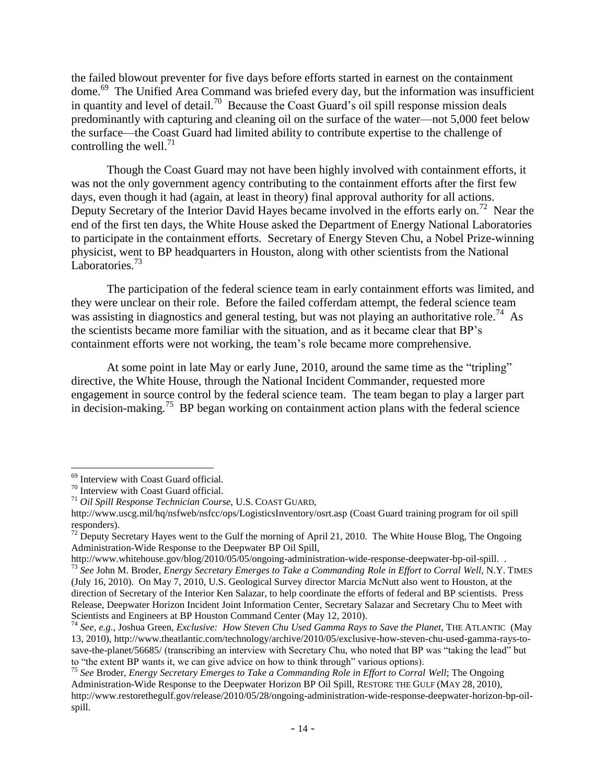the failed blowout preventer for five days before efforts started in earnest on the containment dome.<sup>69</sup> The Unified Area Command was briefed every day, but the information was insufficient in quantity and level of detail.<sup>70</sup> Because the Coast Guard's oil spill response mission deals predominantly with capturing and cleaning oil on the surface of the water—not 5,000 feet below the surface—the Coast Guard had limited ability to contribute expertise to the challenge of controlling the well.<sup>71</sup>

Though the Coast Guard may not have been highly involved with containment efforts, it was not the only government agency contributing to the containment efforts after the first few days, even though it had (again, at least in theory) final approval authority for all actions. Deputy Secretary of the Interior David Hayes became involved in the efforts early on.<sup>72</sup> Near the end of the first ten days, the White House asked the Department of Energy National Laboratories to participate in the containment efforts. Secretary of Energy Steven Chu, a Nobel Prize-winning physicist, went to BP headquarters in Houston, along with other scientists from the National Laboratories.<sup>73</sup>

The participation of the federal science team in early containment efforts was limited, and they were unclear on their role. Before the failed cofferdam attempt, the federal science team was assisting in diagnostics and general testing, but was not playing an authoritative role.<sup>74</sup> As the scientists became more familiar with the situation, and as it became clear that BP"s containment efforts were not working, the team"s role became more comprehensive.

At some point in late May or early June, 2010, around the same time as the "tripling" directive, the White House, through the National Incident Commander, requested more engagement in source control by the federal science team. The team began to play a larger part in decision-making.<sup>75</sup> BP began working on containment action plans with the federal science

<sup>69</sup> Interview with Coast Guard official.

<sup>70</sup> Interview with Coast Guard official.

<sup>71</sup> *Oil Spill Response Technician Course,* U.S. COAST GUARD,

http://www.uscg.mil/hq/nsfweb/nsfcc/ops/LogisticsInventory/osrt.asp (Coast Guard training program for oil spill responders).

 $72$  Deputy Secretary Hayes went to the Gulf the morning of April 21, 2010. The White House Blog, The Ongoing Administration-Wide Response to the Deepwater BP Oil Spill,

http://www.whitehouse.gov/blog/2010/05/05/ongoing-administration-wide-response-deepwater-bp-oil-spill. . <sup>73</sup> *See* John M. Broder, *Energy Secretary Emerges to Take a Commanding Role in Effort to Corral Well*, N.Y. TIMES (July 16, 2010). On May 7, 2010, U.S. Geological Survey director Marcia McNutt also went to Houston, at the direction of Secretary of the Interior Ken Salazar, to help coordinate the efforts of federal and BP scientists. Press Release, Deepwater Horizon Incident Joint Information Center, Secretary Salazar and Secretary Chu to Meet with

Scientists and Engineers at BP Houston Command Center (May 12, 2010).

<sup>74</sup> *See, e.g.*, Joshua Green, *Exclusive: How Steven Chu Used Gamma Rays to Save the Planet*, THE ATLANTIC (May 13, 2010), http://www.theatlantic.com/technology/archive/2010/05/exclusive-how-steven-chu-used-gamma-rays-tosave-the-planet/56685/ (transcribing an interview with Secretary Chu, who noted that BP was "taking the lead" but to "the extent BP wants it, we can give advice on how to think through" various options).

<sup>75</sup> *See* Broder, *Energy Secretary Emerges to Take a Commanding Role in Effort to Corral Well*; The Ongoing Administration-Wide Response to the Deepwater Horizon BP Oil Spill, RESTORE THE GULF (MAY 28, 2010), http://www.restorethegulf.gov/release/2010/05/28/ongoing-administration-wide-response-deepwater-horizon-bp-oilspill.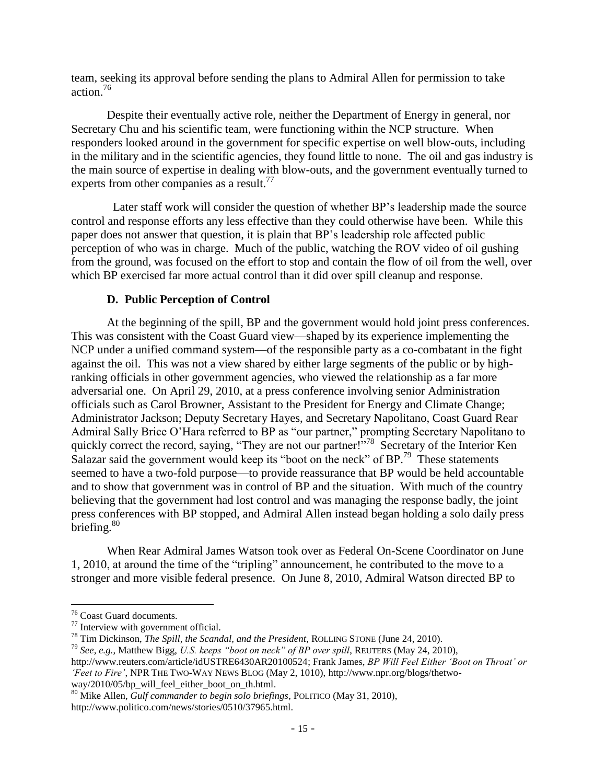team, seeking its approval before sending the plans to Admiral Allen for permission to take action.<sup>76</sup>

Despite their eventually active role, neither the Department of Energy in general, nor Secretary Chu and his scientific team, were functioning within the NCP structure. When responders looked around in the government for specific expertise on well blow-outs, including in the military and in the scientific agencies, they found little to none. The oil and gas industry is the main source of expertise in dealing with blow-outs, and the government eventually turned to experts from other companies as a result.<sup>77</sup>

 Later staff work will consider the question of whether BP"s leadership made the source control and response efforts any less effective than they could otherwise have been. While this paper does not answer that question, it is plain that BP"s leadership role affected public perception of who was in charge. Much of the public, watching the ROV video of oil gushing from the ground, was focused on the effort to stop and contain the flow of oil from the well, over which BP exercised far more actual control than it did over spill cleanup and response.

#### **D. Public Perception of Control**

At the beginning of the spill, BP and the government would hold joint press conferences. This was consistent with the Coast Guard view—shaped by its experience implementing the NCP under a unified command system—of the responsible party as a co-combatant in the fight against the oil. This was not a view shared by either large segments of the public or by highranking officials in other government agencies, who viewed the relationship as a far more adversarial one. On April 29, 2010, at a press conference involving senior Administration officials such as Carol Browner, Assistant to the President for Energy and Climate Change; Administrator Jackson; Deputy Secretary Hayes, and Secretary Napolitano, Coast Guard Rear Admiral Sally Brice O"Hara referred to BP as "our partner," prompting Secretary Napolitano to quickly correct the record, saying, "They are not our partner!"<sup>78</sup> Secretary of the Interior Ken Salazar said the government would keep its "boot on the neck" of BP.<sup>79</sup> These statements seemed to have a two-fold purpose—to provide reassurance that BP would be held accountable and to show that government was in control of BP and the situation. With much of the country believing that the government had lost control and was managing the response badly, the joint press conferences with BP stopped, and Admiral Allen instead began holding a solo daily press briefing.<sup>80</sup>

When Rear Admiral James Watson took over as Federal On-Scene Coordinator on June 1, 2010, at around the time of the "tripling" announcement, he contributed to the move to a stronger and more visible federal presence. On June 8, 2010, Admiral Watson directed BP to

<sup>76</sup> Coast Guard documents.

<sup>77</sup> Interview with government official.

<sup>78</sup> Tim Dickinson, *The Spill, the Scandal, and the President*, ROLLING STONE (June 24, 2010).

<sup>79</sup> *See, e.g.*, Matthew Bigg, *U.S. keeps "boot on neck" of BP over spill*, REUTERS (May 24, 2010),

http://www.reuters.com/article/idUSTRE6430AR20100524; Frank James, *BP Will Feel Either "Boot on Throat" or "Feet to Fire"*, NPR THE TWO-WAY NEWS BLOG (May 2, 1010), http://www.npr.org/blogs/thetwoway/2010/05/bp\_will\_feel\_either\_boot\_on\_th.html.

<sup>80</sup> Mike Allen, *Gulf commander to begin solo briefings*, POLITICO (May 31, 2010), http://www.politico.com/news/stories/0510/37965.html.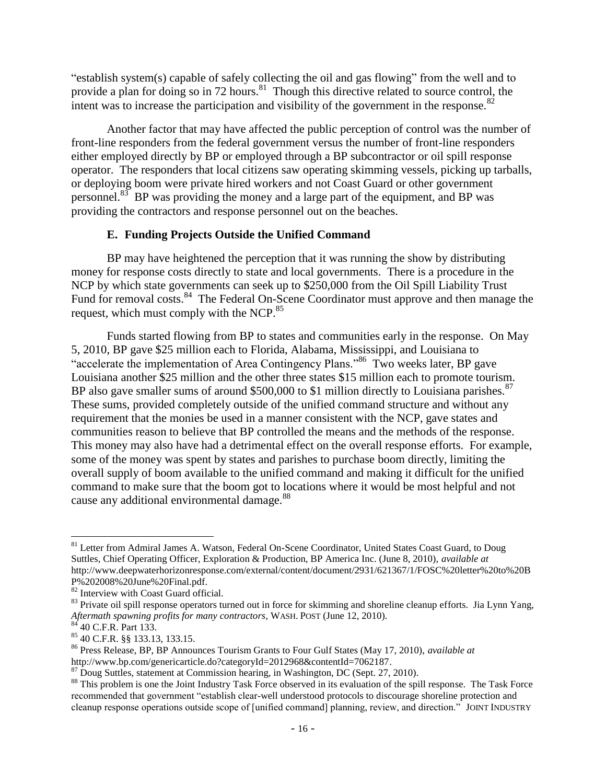"establish system(s) capable of safely collecting the oil and gas flowing" from the well and to provide a plan for doing so in 72 hours.<sup>81</sup> Though this directive related to source control, the intent was to increase the participation and visibility of the government in the response. $82$ 

Another factor that may have affected the public perception of control was the number of front-line responders from the federal government versus the number of front-line responders either employed directly by BP or employed through a BP subcontractor or oil spill response operator. The responders that local citizens saw operating skimming vessels, picking up tarballs, or deploying boom were private hired workers and not Coast Guard or other government personnel. $83$  BP was providing the money and a large part of the equipment, and BP was providing the contractors and response personnel out on the beaches.

## **E. Funding Projects Outside the Unified Command**

BP may have heightened the perception that it was running the show by distributing money for response costs directly to state and local governments. There is a procedure in the NCP by which state governments can seek up to \$250,000 from the Oil Spill Liability Trust Fund for removal costs.<sup>84</sup> The Federal On-Scene Coordinator must approve and then manage the request, which must comply with the NCP.<sup>85</sup>

Funds started flowing from BP to states and communities early in the response. On May 5, 2010, BP gave \$25 million each to Florida, Alabama, Mississippi, and Louisiana to "accelerate the implementation of Area Contingency Plans."<sup>86</sup> Two weeks later, BP gave Louisiana another \$25 million and the other three states \$15 million each to promote tourism. BP also gave smaller sums of around \$500,000 to \$1 million directly to Louisiana parishes. $87$ These sums, provided completely outside of the unified command structure and without any requirement that the monies be used in a manner consistent with the NCP, gave states and communities reason to believe that BP controlled the means and the methods of the response. This money may also have had a detrimental effect on the overall response efforts. For example, some of the money was spent by states and parishes to purchase boom directly, limiting the overall supply of boom available to the unified command and making it difficult for the unified command to make sure that the boom got to locations where it would be most helpful and not cause any additional environmental damage.<sup>88</sup>

<sup>&</sup>lt;sup>81</sup> Letter from Admiral James A. Watson, Federal On-Scene Coordinator, United States Coast Guard, to Doug Suttles, Chief Operating Officer, Exploration & Production, BP America Inc. (June 8, 2010), *available at* http://www.deepwaterhorizonresponse.com/external/content/document/2931/621367/1/FOSC%20letter%20to%20B P%202008%20June%20Final.pdf.

<sup>82</sup> Interview with Coast Guard official.

<sup>&</sup>lt;sup>83</sup> Private oil spill response operators turned out in force for skimming and shoreline cleanup efforts. Jia Lynn Yang, *Aftermath spawning profits for many contractors*, WASH. POST (June 12, 2010).

 $8\overline{4}$  40 C.F.R. Part 133.

<sup>85</sup> 40 C.F.R. §§ 133.13, 133.15.

<sup>86</sup> Press Release, BP, BP Announces Tourism Grants to Four Gulf States (May 17, 2010), *available at* http://www.bp.com/genericarticle.do?categoryId=2012968&contentId=7062187.

<sup>87</sup> Doug Suttles, statement at Commission hearing, in Washington, DC (Sept. 27, 2010).

<sup>&</sup>lt;sup>88</sup> This problem is one the Joint Industry Task Force observed in its evaluation of the spill response. The Task Force recommended that government "establish clear-well understood protocols to discourage shoreline protection and cleanup response operations outside scope of [unified command] planning, review, and direction." JOINT INDUSTRY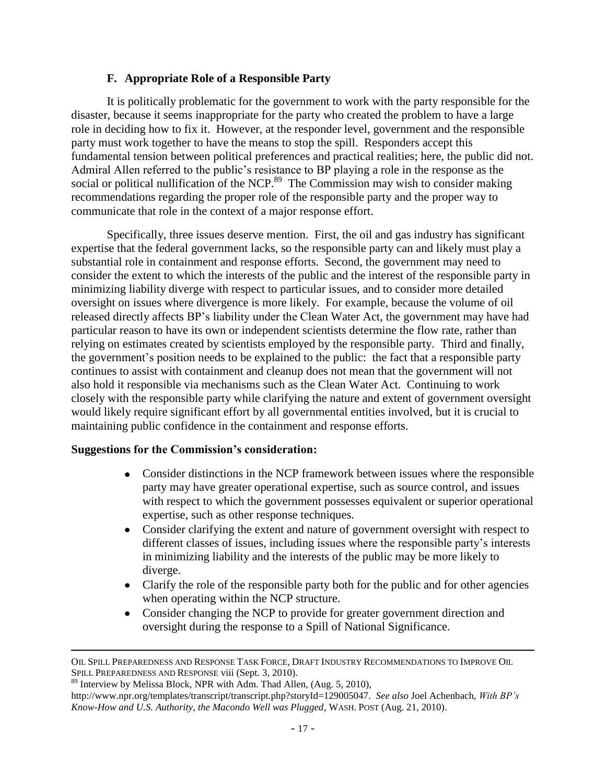## **F. Appropriate Role of a Responsible Party**

It is politically problematic for the government to work with the party responsible for the disaster, because it seems inappropriate for the party who created the problem to have a large role in deciding how to fix it. However, at the responder level, government and the responsible party must work together to have the means to stop the spill. Responders accept this fundamental tension between political preferences and practical realities; here, the public did not. Admiral Allen referred to the public"s resistance to BP playing a role in the response as the social or political nullification of the NCP. $^{89}$  The Commission may wish to consider making recommendations regarding the proper role of the responsible party and the proper way to communicate that role in the context of a major response effort.

Specifically, three issues deserve mention. First, the oil and gas industry has significant expertise that the federal government lacks, so the responsible party can and likely must play a substantial role in containment and response efforts. Second, the government may need to consider the extent to which the interests of the public and the interest of the responsible party in minimizing liability diverge with respect to particular issues, and to consider more detailed oversight on issues where divergence is more likely. For example, because the volume of oil released directly affects BP"s liability under the Clean Water Act, the government may have had particular reason to have its own or independent scientists determine the flow rate, rather than relying on estimates created by scientists employed by the responsible party. Third and finally, the government"s position needs to be explained to the public: the fact that a responsible party continues to assist with containment and cleanup does not mean that the government will not also hold it responsible via mechanisms such as the Clean Water Act. Continuing to work closely with the responsible party while clarifying the nature and extent of government oversight would likely require significant effort by all governmental entities involved, but it is crucial to maintaining public confidence in the containment and response efforts.

## **Suggestions for the Commission's consideration:**

- Consider distinctions in the NCP framework between issues where the responsible  $\bullet$ party may have greater operational expertise, such as source control, and issues with respect to which the government possesses equivalent or superior operational expertise, such as other response techniques.
- Consider clarifying the extent and nature of government oversight with respect to different classes of issues, including issues where the responsible party"s interests in minimizing liability and the interests of the public may be more likely to diverge.
- Clarify the role of the responsible party both for the public and for other agencies when operating within the NCP structure.
- Consider changing the NCP to provide for greater government direction and oversight during the response to a Spill of National Significance.

OIL SPILL PREPAREDNESS AND RESPONSE TASK FORCE, DRAFT INDUSTRY RECOMMENDATIONS TO IMPROVE OIL SPILL PREPAREDNESS AND RESPONSE viii (Sept. 3, 2010).

<sup>&</sup>lt;sup>89</sup> Interview by Melissa Block, NPR with Adm. Thad Allen, (Aug. 5, 2010), http://www.npr.org/templates/transcript/transcript.php?storyId=129005047. *See also* Joel Achenbach, *With BP"s Know-How and U.S. Authority, the Macondo Well was Plugged*, WASH. POST (Aug. 21, 2010).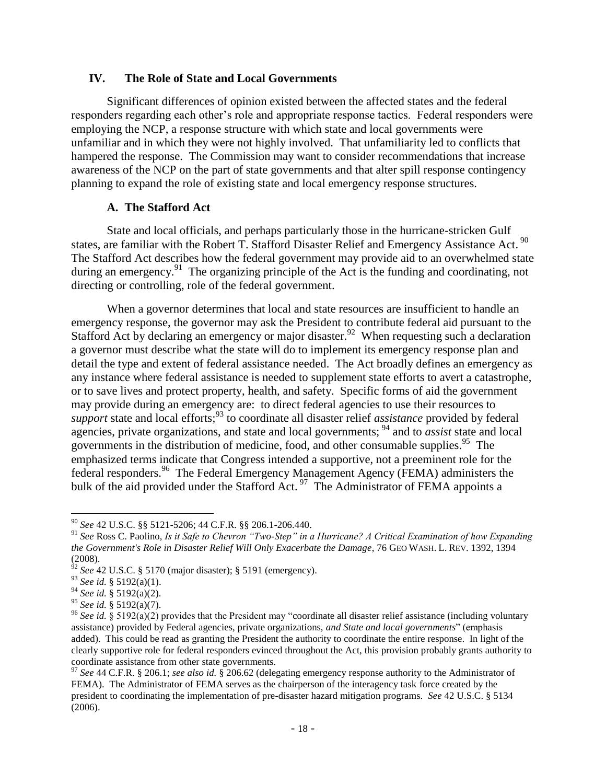#### **IV. The Role of State and Local Governments**

Significant differences of opinion existed between the affected states and the federal responders regarding each other"s role and appropriate response tactics. Federal responders were employing the NCP, a response structure with which state and local governments were unfamiliar and in which they were not highly involved. That unfamiliarity led to conflicts that hampered the response. The Commission may want to consider recommendations that increase awareness of the NCP on the part of state governments and that alter spill response contingency planning to expand the role of existing state and local emergency response structures.

## **A. The Stafford Act**

State and local officials, and perhaps particularly those in the hurricane-stricken Gulf states, are familiar with the Robert T. Stafford Disaster Relief and Emergency Assistance Act.<sup>90</sup> The Stafford Act describes how the federal government may provide aid to an overwhelmed state during an emergency.<sup>91</sup> The organizing principle of the Act is the funding and coordinating, not directing or controlling, role of the federal government.

When a governor determines that local and state resources are insufficient to handle an emergency response, the governor may ask the President to contribute federal aid pursuant to the Stafford Act by declaring an emergency or major disaster.<sup>92</sup> When requesting such a declaration a governor must describe what the state will do to implement its emergency response plan and detail the type and extent of federal assistance needed. The Act broadly defines an emergency as any instance where federal assistance is needed to supplement state efforts to avert a catastrophe, or to save lives and protect property, health, and safety. Specific forms of aid the government may provide during an emergency are: to direct federal agencies to use their resources to *support* state and local efforts;<sup>93</sup> to coordinate all disaster relief *assistance* provided by federal agencies, private organizations, and state and local governments; <sup>94</sup> and to *assist* state and local governments in the distribution of medicine, food, and other consumable supplies. $^{95}$  The emphasized terms indicate that Congress intended a supportive, not a preeminent role for the federal responders.<sup>96</sup> The Federal Emergency Management Agency (FEMA) administers the bulk of the aid provided under the Stafford Act.<sup>97</sup> The Administrator of FEMA appoints a

<sup>90</sup> *See* 42 U.S.C. §§ 5121-5206; 44 C.F.R. §§ 206.1-206.440.

<sup>91</sup> *See* Ross C. Paolino, *Is it Safe to Chevron "Two-Step" in a Hurricane? A Critical Examination of how Expanding the Government's Role in Disaster Relief Will Only Exacerbate the Damage*, 76 GEO WASH. L. REV. 1392, 1394 (2008).

<sup>92</sup> *See* 42 U.S.C. § 5170 (major disaster); § 5191 (emergency).

<sup>93</sup> *See id.* § 5192(a)(1). <sup>93</sup> *See id.* § 5192(a)(1).<br><sup>94</sup> *See id.* § 5192(a)(2).

<sup>95</sup> *See id.* § 5192(a)(7).

<sup>96</sup> *See id.* § 5192(a)(2) provides that the President may "coordinate all disaster relief assistance (including voluntary assistance) provided by Federal agencies, private organizations, *and State and local governments*" (emphasis added). This could be read as granting the President the authority to coordinate the entire response. In light of the clearly supportive role for federal responders evinced throughout the Act, this provision probably grants authority to coordinate assistance from other state governments.

<sup>97</sup> *See* 44 C.F.R. § 206.1; *see also id.* § 206.62 (delegating emergency response authority to the Administrator of FEMA). The Administrator of FEMA serves as the chairperson of the interagency task force created by the president to coordinating the implementation of pre-disaster hazard mitigation programs. *See* 42 U.S.C. § 5134 (2006).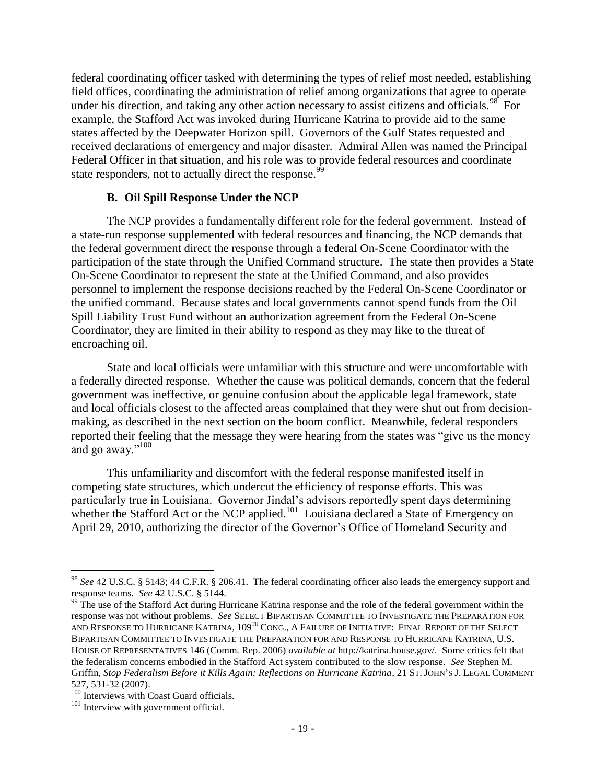federal coordinating officer tasked with determining the types of relief most needed, establishing field offices, coordinating the administration of relief among organizations that agree to operate under his direction, and taking any other action necessary to assist citizens and officials.<sup>98</sup> For example, the Stafford Act was invoked during Hurricane Katrina to provide aid to the same states affected by the Deepwater Horizon spill. Governors of the Gulf States requested and received declarations of emergency and major disaster. Admiral Allen was named the Principal Federal Officer in that situation, and his role was to provide federal resources and coordinate state responders, not to actually direct the response.<sup>99</sup>

#### **B. Oil Spill Response Under the NCP**

The NCP provides a fundamentally different role for the federal government. Instead of a state-run response supplemented with federal resources and financing, the NCP demands that the federal government direct the response through a federal On-Scene Coordinator with the participation of the state through the Unified Command structure. The state then provides a State On-Scene Coordinator to represent the state at the Unified Command, and also provides personnel to implement the response decisions reached by the Federal On-Scene Coordinator or the unified command. Because states and local governments cannot spend funds from the Oil Spill Liability Trust Fund without an authorization agreement from the Federal On-Scene Coordinator, they are limited in their ability to respond as they may like to the threat of encroaching oil.

State and local officials were unfamiliar with this structure and were uncomfortable with a federally directed response. Whether the cause was political demands, concern that the federal government was ineffective, or genuine confusion about the applicable legal framework, state and local officials closest to the affected areas complained that they were shut out from decisionmaking, as described in the next section on the boom conflict. Meanwhile, federal responders reported their feeling that the message they were hearing from the states was "give us the money and go away."<sup>100</sup>

This unfamiliarity and discomfort with the federal response manifested itself in competing state structures, which undercut the efficiency of response efforts. This was particularly true in Louisiana. Governor Jindal's advisors reportedly spent days determining whether the Stafford Act or the NCP applied.<sup>101</sup> Louisiana declared a State of Emergency on April 29, 2010, authorizing the director of the Governor"s Office of Homeland Security and

<sup>98</sup> *See* 42 U.S.C. § 5143; 44 C.F.R. § 206.41. The federal coordinating officer also leads the emergency support and response teams. *See* 42 U.S.C. § 5144.

<sup>&</sup>lt;sup>99</sup> The use of the Stafford Act during Hurricane Katrina response and the role of the federal government within the response was not without problems. *See* SELECT BIPARTISAN COMMITTEE TO INVESTIGATE THE PREPARATION FOR AND RESPONSE TO HURRICANE KATRINA, 109<sup>TH</sup> CONG., A FAILURE OF INITIATIVE: FINAL REPORT OF THE SELECT BIPARTISAN COMMITTEE TO INVESTIGATE THE PREPARATION FOR AND RESPONSE TO HURRICANE KATRINA, U.S. HOUSE OF REPRESENTATIVES 146 (Comm. Rep. 2006) *available at* http://katrina.house.gov/. Some critics felt that the federalism concerns embodied in the Stafford Act system contributed to the slow response. *See* Stephen M. Griffin, *Stop Federalism Before it Kills Again: Reflections on Hurricane Katrina*, 21 ST. JOHN"S J. LEGAL COMMENT 527, 531-32 (2007).

<sup>&</sup>lt;sup>100</sup> Interviews with Coast Guard officials.

<sup>&</sup>lt;sup>101</sup> Interview with government official.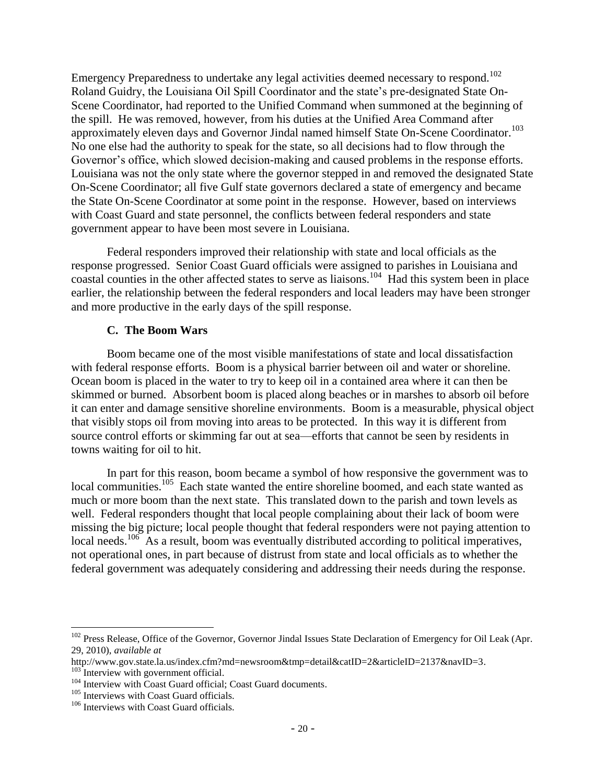Emergency Preparedness to undertake any legal activities deemed necessary to respond.<sup>102</sup> Roland Guidry, the Louisiana Oil Spill Coordinator and the state's pre-designated State On-Scene Coordinator, had reported to the Unified Command when summoned at the beginning of the spill. He was removed, however, from his duties at the Unified Area Command after approximately eleven days and Governor Jindal named himself State On-Scene Coordinator.<sup>103</sup> No one else had the authority to speak for the state, so all decisions had to flow through the Governor's office, which slowed decision-making and caused problems in the response efforts. Louisiana was not the only state where the governor stepped in and removed the designated State On-Scene Coordinator; all five Gulf state governors declared a state of emergency and became the State On-Scene Coordinator at some point in the response. However, based on interviews with Coast Guard and state personnel, the conflicts between federal responders and state government appear to have been most severe in Louisiana.

Federal responders improved their relationship with state and local officials as the response progressed. Senior Coast Guard officials were assigned to parishes in Louisiana and  $\cos$  coastal counties in the other affected states to serve as liaisons.<sup>104</sup> Had this system been in place earlier, the relationship between the federal responders and local leaders may have been stronger and more productive in the early days of the spill response.

## **C. The Boom Wars**

Boom became one of the most visible manifestations of state and local dissatisfaction with federal response efforts. Boom is a physical barrier between oil and water or shoreline. Ocean boom is placed in the water to try to keep oil in a contained area where it can then be skimmed or burned. Absorbent boom is placed along beaches or in marshes to absorb oil before it can enter and damage sensitive shoreline environments. Boom is a measurable, physical object that visibly stops oil from moving into areas to be protected. In this way it is different from source control efforts or skimming far out at sea—efforts that cannot be seen by residents in towns waiting for oil to hit.

In part for this reason, boom became a symbol of how responsive the government was to local communities.<sup>105</sup> Each state wanted the entire shoreline boomed, and each state wanted as much or more boom than the next state. This translated down to the parish and town levels as well. Federal responders thought that local people complaining about their lack of boom were missing the big picture; local people thought that federal responders were not paying attention to local needs.<sup>106</sup> As a result, boom was eventually distributed according to political imperatives, not operational ones, in part because of distrust from state and local officials as to whether the federal government was adequately considering and addressing their needs during the response.

 $102$  Press Release, Office of the Governor, Governor Jindal Issues State Declaration of Emergency for Oil Leak (Apr. 29, 2010), *available at* 

http://www.gov.state.la.us/index.cfm?md=newsroom&tmp=detail&catID=2&articleID=2137&navID=3.

<sup>&</sup>lt;sup>103</sup> Interview with government official.

<sup>&</sup>lt;sup>104</sup> Interview with Coast Guard official; Coast Guard documents.

<sup>&</sup>lt;sup>105</sup> Interviews with Coast Guard officials.

<sup>&</sup>lt;sup>106</sup> Interviews with Coast Guard officials.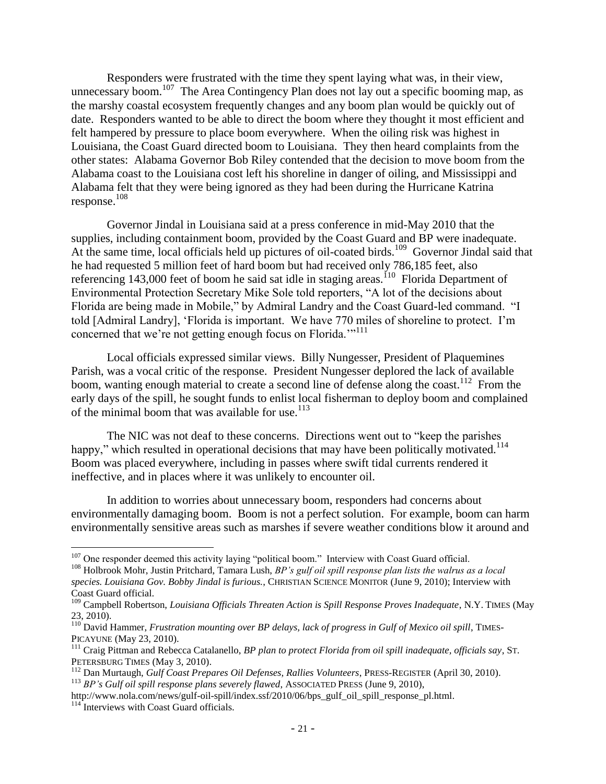Responders were frustrated with the time they spent laying what was, in their view, unnecessary boom.<sup>107</sup> The Area Contingency Plan does not lay out a specific booming map, as the marshy coastal ecosystem frequently changes and any boom plan would be quickly out of date. Responders wanted to be able to direct the boom where they thought it most efficient and felt hampered by pressure to place boom everywhere. When the oiling risk was highest in Louisiana, the Coast Guard directed boom to Louisiana. They then heard complaints from the other states: Alabama Governor Bob Riley contended that the decision to move boom from the Alabama coast to the Louisiana cost left his shoreline in danger of oiling, and Mississippi and Alabama felt that they were being ignored as they had been during the Hurricane Katrina response.<sup>108</sup>

Governor Jindal in Louisiana said at a press conference in mid-May 2010 that the supplies, including containment boom, provided by the Coast Guard and BP were inadequate. At the same time, local officials held up pictures of oil-coated birds.<sup>109</sup> Governor Jindal said that he had requested 5 million feet of hard boom but had received only 786,185 feet, also referencing 143,000 feet of boom he said sat idle in staging areas.<sup>110</sup> Florida Department of Environmental Protection Secretary Mike Sole told reporters, "A lot of the decisions about Florida are being made in Mobile," by Admiral Landry and the Coast Guard-led command. "I told [Admiral Landry], "Florida is important. We have 770 miles of shoreline to protect. I"m concerned that we're not getting enough focus on Florida."<sup>111</sup>

Local officials expressed similar views. Billy Nungesser, President of Plaquemines Parish, was a vocal critic of the response. President Nungesser deplored the lack of available boom, wanting enough material to create a second line of defense along the coast.<sup>112</sup> From the early days of the spill, he sought funds to enlist local fisherman to deploy boom and complained of the minimal boom that was available for use. $113$ 

The NIC was not deaf to these concerns. Directions went out to "keep the parishes happy," which resulted in operational decisions that may have been politically motivated.<sup>114</sup> Boom was placed everywhere, including in passes where swift tidal currents rendered it ineffective, and in places where it was unlikely to encounter oil.

In addition to worries about unnecessary boom, responders had concerns about environmentally damaging boom. Boom is not a perfect solution. For example, boom can harm environmentally sensitive areas such as marshes if severe weather conditions blow it around and

<sup>&</sup>lt;sup>107</sup> One responder deemed this activity laying "political boom." Interview with Coast Guard official.

<sup>&</sup>lt;sup>108</sup> Holbrook Mohr, Justin Pritchard, Tamara Lush, *BP's gulf oil spill response plan lists the walrus as a local species. Louisiana Gov. Bobby Jindal is furious.*, CHRISTIAN SCIENCE MONITOR (June 9, 2010); Interview with Coast Guard official.

<sup>109</sup> Campbell Robertson, *Louisiana Officials Threaten Action is Spill Response Proves Inadequate*, N.Y. TIMES (May 23, 2010).

<sup>&</sup>lt;sup>110</sup> David Hammer, *Frustration mounting over BP delays, lack of progress in Gulf of Mexico oil spill*, TIMES-PICAYUNE (May 23, 2010).

<sup>111</sup> Craig Pittman and Rebecca Catalanello, *BP plan to protect Florida from oil spill inadequate, officials say*, ST. PETERSBURG TIMES (May 3, 2010).

<sup>112</sup> Dan Murtaugh, *Gulf Coast Prepares Oil Defenses, Rallies Volunteers*, PRESS-REGISTER (April 30, 2010).

<sup>&</sup>lt;sup>113</sup> BP's Gulf oil spill response plans severely flawed, ASSOCIATED PRESS (June 9, 2010),

http://www.nola.com/news/gulf-oil-spill/index.ssf/2010/06/bps\_gulf\_oil\_spill\_response\_pl.html. <sup>114</sup> Interviews with Coast Guard officials.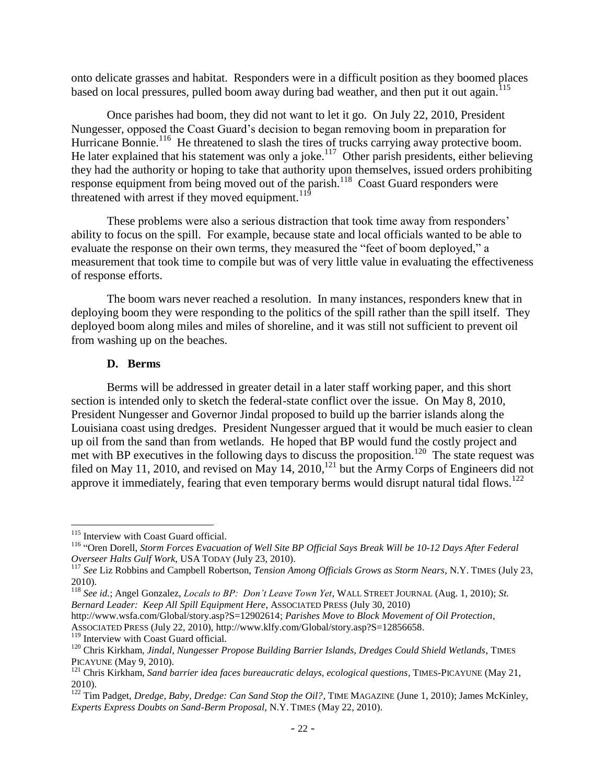onto delicate grasses and habitat. Responders were in a difficult position as they boomed places based on local pressures, pulled boom away during bad weather, and then put it out again.<sup>115</sup>

Once parishes had boom, they did not want to let it go. On July 22, 2010, President Nungesser, opposed the Coast Guard"s decision to began removing boom in preparation for Hurricane Bonnie.<sup>116</sup> He threatened to slash the tires of trucks carrying away protective boom. He later explained that his statement was only a joke.<sup>117</sup> Other parish presidents, either believing they had the authority or hoping to take that authority upon themselves, issued orders prohibiting response equipment from being moved out of the parish.<sup>118</sup> Coast Guard responders were threatened with arrest if they moved equipment.<sup>119</sup>

These problems were also a serious distraction that took time away from responders" ability to focus on the spill. For example, because state and local officials wanted to be able to evaluate the response on their own terms, they measured the "feet of boom deployed," a measurement that took time to compile but was of very little value in evaluating the effectiveness of response efforts.

The boom wars never reached a resolution. In many instances, responders knew that in deploying boom they were responding to the politics of the spill rather than the spill itself. They deployed boom along miles and miles of shoreline, and it was still not sufficient to prevent oil from washing up on the beaches.

#### **D. Berms**

Berms will be addressed in greater detail in a later staff working paper, and this short section is intended only to sketch the federal-state conflict over the issue. On May 8, 2010, President Nungesser and Governor Jindal proposed to build up the barrier islands along the Louisiana coast using dredges. President Nungesser argued that it would be much easier to clean up oil from the sand than from wetlands. He hoped that BP would fund the costly project and met with BP executives in the following days to discuss the proposition.<sup>120</sup> The state request was filed on May 11, 2010, and revised on May 14,  $2010$ ,  $^{121}$  but the Army Corps of Engineers did not approve it immediately, fearing that even temporary berms would disrupt natural tidal flows.<sup>122</sup>

<sup>&</sup>lt;sup>115</sup> Interview with Coast Guard official.

<sup>116</sup> "Oren Dorell, *Storm Forces Evacuation of Well Site BP Official Says Break Will be 10-12 Days After Federal Overseer Halts Gulf Work*, USA TODAY (July 23, 2010).

<sup>117</sup> *See* Liz Robbins and Campbell Robertson, *Tension Among Officials Grows as Storm Nears*, N.Y. TIMES (July 23, 2010).

<sup>118</sup> *See id.*; Angel Gonzalez, *Locals to BP: Don"t Leave Town Yet*, WALL STREET JOURNAL (Aug. 1, 2010); *St. Bernard Leader: Keep All Spill Equipment Here*, ASSOCIATED PRESS (July 30, 2010)

http://www.wsfa.com/Global/story.asp?S=12902614; *Parishes Move to Block Movement of Oil Protection*, ASSOCIATED PRESS (July 22, 2010), http://www.klfy.com/Global/story.asp?S=12856658.

<sup>&</sup>lt;sup>119</sup> Interview with Coast Guard official.

<sup>&</sup>lt;sup>120</sup> Chris Kirkham, Jindal, Nungesser Propose Building Barrier Islands, Dredges Could Shield Wetlands, TIMES PICAYUNE (May 9, 2010).

<sup>&</sup>lt;sup>121</sup> Chris Kirkham, *Sand barrier idea faces bureaucratic delays, ecological questions*, TIMES-PICAYUNE (May 21, 2010).

<sup>&</sup>lt;sup>122</sup> Tim Padget, *Dredge, Baby, Dredge: Can Sand Stop the Oil?*, TIME MAGAZINE (June 1, 2010); James McKinley, *Experts Express Doubts on Sand-Berm Proposal*, N.Y. TIMES (May 22, 2010).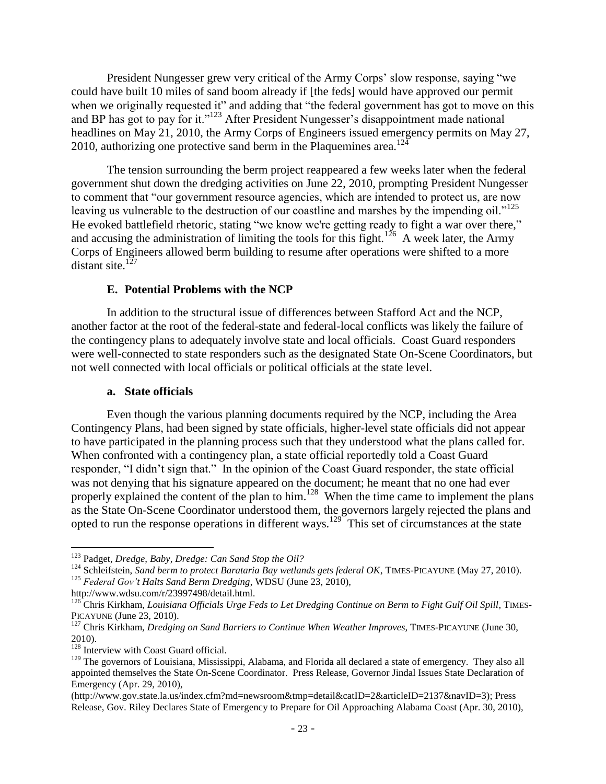President Nungesser grew very critical of the Army Corps" slow response, saying "we could have built 10 miles of sand boom already if [the feds] would have approved our permit when we originally requested it" and adding that "the federal government has got to move on this and BP has got to pay for it."<sup>123</sup> After President Nungesser's disappointment made national headlines on May 21, 2010, the Army Corps of Engineers issued emergency permits on May 27, 2010, authorizing one protective sand berm in the Plaquemines area.<sup>124</sup>

The tension surrounding the berm project reappeared a few weeks later when the federal government shut down the dredging activities on June 22, 2010, prompting President Nungesser to comment that "our government resource agencies, which are intended to protect us, are now leaving us vulnerable to the destruction of our coastline and marshes by the impending oil."<sup>125</sup> He evoked battlefield rhetoric, stating "we know we're getting ready to fight a war over there," and accusing the administration of limiting the tools for this fight.<sup>126</sup> A week later, the Army Corps of Engineers allowed berm building to resume after operations were shifted to a more distant site. $127$ 

## **E. Potential Problems with the NCP**

In addition to the structural issue of differences between Stafford Act and the NCP, another factor at the root of the federal-state and federal-local conflicts was likely the failure of the contingency plans to adequately involve state and local officials. Coast Guard responders were well-connected to state responders such as the designated State On-Scene Coordinators, but not well connected with local officials or political officials at the state level.

#### **a. State officials**

Even though the various planning documents required by the NCP, including the Area Contingency Plans, had been signed by state officials, higher-level state officials did not appear to have participated in the planning process such that they understood what the plans called for. When confronted with a contingency plan, a state official reportedly told a Coast Guard responder, "I didn"t sign that." In the opinion of the Coast Guard responder, the state official was not denying that his signature appeared on the document; he meant that no one had ever properly explained the content of the plan to him.<sup>128</sup> When the time came to implement the plans as the State On-Scene Coordinator understood them, the governors largely rejected the plans and opted to run the response operations in different ways.<sup>129</sup> This set of circumstances at the state

<sup>123</sup> Padget, *Dredge, Baby, Dredge: Can Sand Stop the Oil?*

<sup>&</sup>lt;sup>124</sup> Schleifstein, *Sand berm to protect Barataria Bay wetlands gets federal OK*, TIMES-PICAYUNE (May 27, 2010).

<sup>125</sup> *Federal Gov"t Halts Sand Berm Dredging*, WDSU (June 23, 2010),

http://www.wdsu.com/r/23997498/detail.html.

<sup>&</sup>lt;sup>126</sup> Chris Kirkham, *Louisiana Officials Urge Feds to Let Dredging Continue on Berm to Fight Gulf Oil Spill*, TIMES-PICAYUNE (June 23, 2010).

<sup>&</sup>lt;sup>127</sup> Chris Kirkham, *Dredging on Sand Barriers to Continue When Weather Improves*, TIMES-PICAYUNE (June 30, 2010).

<sup>&</sup>lt;sup>128</sup> Interview with Coast Guard official.

<sup>&</sup>lt;sup>129</sup> The governors of Louisiana, Mississippi, Alabama, and Florida all declared a state of emergency. They also all appointed themselves the State On-Scene Coordinator. Press Release, Governor Jindal Issues State Declaration of Emergency (Apr. 29, 2010),

<sup>(</sup>http://www.gov.state.la.us/index.cfm?md=newsroom&tmp=detail&catID=2&articleID=2137&navID=3); Press Release, Gov. Riley Declares State of Emergency to Prepare for Oil Approaching Alabama Coast (Apr. 30, 2010),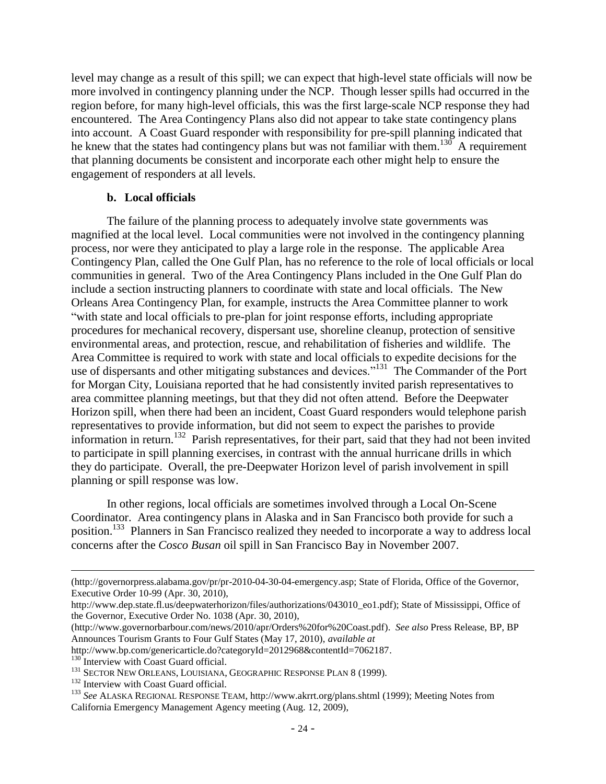level may change as a result of this spill; we can expect that high-level state officials will now be more involved in contingency planning under the NCP. Though lesser spills had occurred in the region before, for many high-level officials, this was the first large-scale NCP response they had encountered. The Area Contingency Plans also did not appear to take state contingency plans into account. A Coast Guard responder with responsibility for pre-spill planning indicated that he knew that the states had contingency plans but was not familiar with them.<sup>130</sup> A requirement that planning documents be consistent and incorporate each other might help to ensure the engagement of responders at all levels.

#### **b. Local officials**

The failure of the planning process to adequately involve state governments was magnified at the local level. Local communities were not involved in the contingency planning process, nor were they anticipated to play a large role in the response. The applicable Area Contingency Plan, called the One Gulf Plan, has no reference to the role of local officials or local communities in general. Two of the Area Contingency Plans included in the One Gulf Plan do include a section instructing planners to coordinate with state and local officials. The New Orleans Area Contingency Plan, for example, instructs the Area Committee planner to work "with state and local officials to pre-plan for joint response efforts, including appropriate procedures for mechanical recovery, dispersant use, shoreline cleanup, protection of sensitive environmental areas, and protection, rescue, and rehabilitation of fisheries and wildlife. The Area Committee is required to work with state and local officials to expedite decisions for the use of dispersants and other mitigating substances and devices."<sup>131</sup> The Commander of the Port for Morgan City, Louisiana reported that he had consistently invited parish representatives to area committee planning meetings, but that they did not often attend. Before the Deepwater Horizon spill, when there had been an incident, Coast Guard responders would telephone parish representatives to provide information, but did not seem to expect the parishes to provide information in return.<sup>132</sup> Parish representatives, for their part, said that they had not been invited to participate in spill planning exercises, in contrast with the annual hurricane drills in which they do participate. Overall, the pre-Deepwater Horizon level of parish involvement in spill planning or spill response was low.

In other regions, local officials are sometimes involved through a Local On-Scene Coordinator. Area contingency plans in Alaska and in San Francisco both provide for such a position.<sup>133</sup> Planners in San Francisco realized they needed to incorporate a way to address local concerns after the *Cosco Busan* oil spill in San Francisco Bay in November 2007.

<sup>(</sup>http://governorpress.alabama.gov/pr/pr-2010-04-30-04-emergency.asp; State of Florida, Office of the Governor, Executive Order 10-99 (Apr. 30, 2010),

http://www.dep.state.fl.us/deepwaterhorizon/files/authorizations/043010\_eo1.pdf); State of Mississippi, Office of the Governor, Executive Order No. 1038 (Apr. 30, 2010),

<sup>(</sup>http://www.governorbarbour.com/news/2010/apr/Orders%20for%20Coast.pdf). *See also* Press Release, BP, BP Announces Tourism Grants to Four Gulf States (May 17, 2010), *available at*

http://www.bp.com/genericarticle.do?categoryId=2012968&contentId=7062187.

 $^{130}$  Interview with Coast Guard official.

<sup>&</sup>lt;sup>131</sup> SECTOR NEW ORLEANS, LOUISIANA, GEOGRAPHIC RESPONSE PLAN 8 (1999).

<sup>&</sup>lt;sup>132</sup> Interview with Coast Guard official.

<sup>133</sup> *See* ALASKA REGIONAL RESPONSE TEAM, http://www.akrrt.org/plans.shtml (1999); Meeting Notes from California Emergency Management Agency meeting (Aug. 12, 2009),